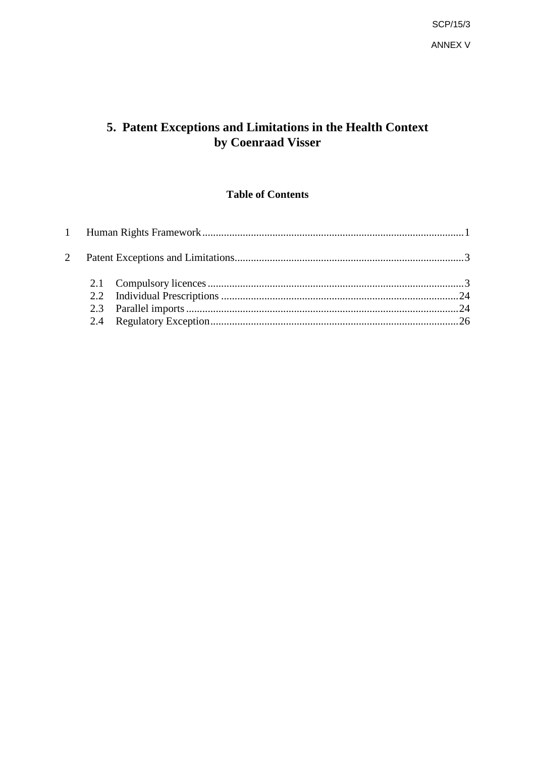# 5. Patent Exceptions and Limitations in the Health Context by Coenraad Visser

# **Table of Contents**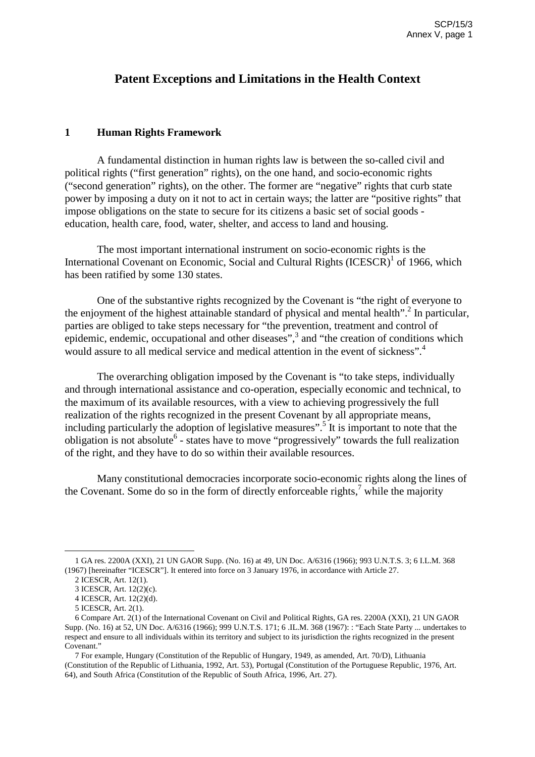# **Patent Exceptions and Limitations in the Health Context**

# **1 Human Rights Framework**

A fundamental distinction in human rights law is between the so-called civil and political rights ("first generation" rights), on the one hand, and socio-economic rights ("second generation" rights), on the other. The former are "negative" rights that curb state power by imposing a duty on it not to act in certain ways; the latter are "positive rights" that impose obligations on the state to secure for its citizens a basic set of social goods education, health care, food, water, shelter, and access to land and housing.

The most important international instrument on socio-economic rights is the International Covenant on Economic, Social and Cultural Rights  $(IEEER)^1$  of 1966, which has been ratified by some 130 states.

One of the substantive rights recognized by the Covenant is "the right of everyone to the enjoyment of the highest attainable standard of physical and mental health".<sup>2</sup> In particular, parties are obliged to take steps necessary for "the prevention, treatment and control of epidemic, endemic, occupational and other diseases",<sup>3</sup> and "the creation of conditions which would assure to all medical service and medical attention in the event of sickness".<sup>4</sup>

The overarching obligation imposed by the Covenant is "to take steps, individually and through international assistance and co-operation, especially economic and technical, to the maximum of its available resources, with a view to achieving progressively the full realization of the rights recognized in the present Covenant by all appropriate means, including particularly the adoption of legislative measures". <sup>5</sup> It is important to note that the obligation is not absolute <sup>6</sup> - states have to move "progressively" towards the full realization of the right, and they have to do so within their available resources.

Many constitutional democracies incorporate socio-economic rights along the lines of the Covenant. Some do so in the form of directly enforceable rights,<sup>7</sup> while the majority

<sup>1</sup> GA res. 2200A (XXI), 21 UN GAOR Supp. (No. 16) at 49, UN Doc. A/6316 (1966); 993 U.N.T.S. 3; 6 I.L.M. 368 (1967) [hereinafter "ICESCR"]. It entered into force on 3 January 1976, in accordance with Article 27.

<sup>2</sup> ICESCR, Art. 12(1).

<sup>3</sup> ICESCR, Art. 12(2)(c).

<sup>4</sup> ICESCR, Art. 12(2)(d).

<sup>5</sup> ICESCR, Art. 2(1).

<sup>6</sup> Compare Art. 2(1) of the International Covenant on Civil and Political Rights, GA res. 2200A (XXI), 21 UN GAOR Supp. (No. 16) at 52, UN Doc. A/6316 (1966); 999 U.N.T.S. 171; 6 .IL.M. 368 (1967): : "Each State Party ... undertakes to respect and ensure to all individuals within its territory and subject to its jurisdiction the rights recognized in the present Covenant."

<sup>7</sup> For example, Hungary (Constitution of the Republic of Hungary, 1949, as amended, Art. 70/D), Lithuania (Constitution of the Republic of Lithuania, 1992, Art. 53), Portugal (Constitution of the Portuguese Republic, 1976, Art. 64), and South Africa (Constitution of the Republic of South Africa, 1996, Art. 27).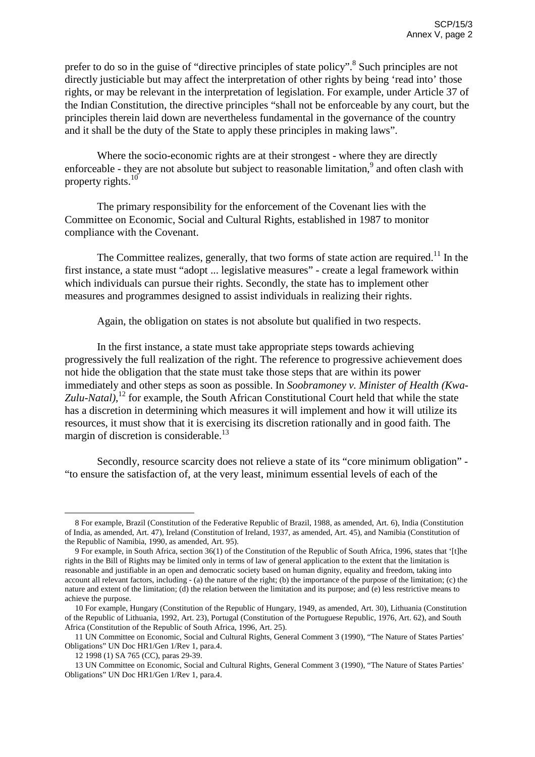prefer to do so in the guise of "directive principles of state policy".<sup>8</sup> Such principles are not directly justiciable but may affect the interpretation of other rights by being 'read into' those rights, or may be relevant in the interpretation of legislation. For example, under Article 37 of the Indian Constitution, the directive principles "shall not be enforceable by any court, but the principles therein laid down are nevertheless fundamental in the governance of the country and it shall be the duty of the State to apply these principles in making laws".

Where the socio-economic rights are at their strongest - where they are directly enforceable - they are not absolute but subject to reasonable limitation,<sup>9</sup> and often clash with property rights.<sup>10</sup>

The primary responsibility for the enforcement of the Covenant lies with the Committee on Economic, Social and Cultural Rights, established in 1987 to monitor compliance with the Covenant.

The Committee realizes, generally, that two forms of state action are required.<sup>11</sup> In the first instance, a state must "adopt ... legislative measures" - create a legal framework within which individuals can pursue their rights. Secondly, the state has to implement other measures and programmes designed to assist individuals in realizing their rights.

Again, the obligation on states is not absolute but qualified in two respects.

In the first instance, a state must take appropriate steps towards achieving progressively the full realization of the right. The reference to progressive achievement does not hide the obligation that the state must take those steps that are within its power immediately and other steps as soon as possible. In *Soobramoney v. Minister of Health (Kwa-*Zulu-Natal),<sup>12</sup> for example, the South African Constitutional Court held that while the state has a discretion in determining which measures it will implement and how it will utilize its resources, it must show that it is exercising its discretion rationally and in good faith. The margin of discretion is considerable.<sup>13</sup>

Secondly, resource scarcity does not relieve a state of its "core minimum obligation" - "to ensure the satisfaction of, at the very least, minimum essential levels of each of the

<sup>8</sup> For example, Brazil (Constitution of the Federative Republic of Brazil, 1988, as amended, Art. 6), India (Constitution of India, as amended, Art. 47), Ireland (Constitution of Ireland, 1937, as amended, Art. 45), and Namibia (Constitution of the Republic of Namibia, 1990, as amended, Art. 95).

<sup>9</sup> For example, in South Africa, section 36(1) of the Constitution of the Republic of South Africa, 1996, states that '[t]he rights in the Bill of Rights may be limited only in terms of law of general application to the extent that the limitation is reasonable and justifiable in an open and democratic society based on human dignity, equality and freedom, taking into account all relevant factors, including - (a) the nature of the right; (b) the importance of the purpose of the limitation; (c) the nature and extent of the limitation; (d) the relation between the limitation and its purpose; and (e) less restrictive means to achieve the purpose.

<sup>10</sup> For example, Hungary (Constitution of the Republic of Hungary, 1949, as amended, Art. 30), Lithuania (Constitution of the Republic of Lithuania, 1992, Art. 23), Portugal (Constitution of the Portuguese Republic, 1976, Art. 62), and South Africa (Constitution of the Republic of South Africa, 1996, Art. 25).

<sup>11</sup> UN Committee on Economic, Social and Cultural Rights, General Comment 3 (1990), "The Nature of States Parties' Obligations" UN Doc HR1/Gen 1/Rev 1, para.4.

<sup>12</sup> 1998 (1) SA 765 (CC), paras 29-39.

<sup>13</sup> UN Committee on Economic, Social and Cultural Rights, General Comment 3 (1990), "The Nature of States Parties' Obligations" UN Doc HR1/Gen 1/Rev 1, para.4.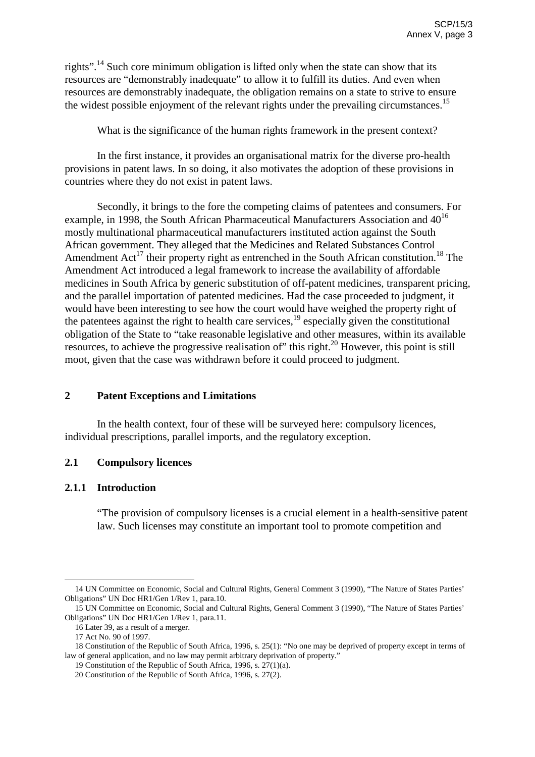rights".<sup>14</sup> Such core minimum obligation is lifted only when the state can show that its resources are "demonstrably inadequate" to allow it to fulfill its duties. And even when resources are demonstrably inadequate, the obligation remains on a state to strive to ensure the widest possible enjoyment of the relevant rights under the prevailing circumstances.<sup>15</sup>

What is the significance of the human rights framework in the present context?

In the first instance, it provides an organisational matrix for the diverse pro-health provisions in patent laws. In so doing, it also motivates the adoption of these provisions in countries where they do not exist in patent laws.

Secondly, it brings to the fore the competing claims of patentees and consumers. For example, in 1998, the South African Pharmaceutical Manufacturers Association and  $40^{16}$ mostly multinational pharmaceutical manufacturers instituted action against the South African government. They alleged that the Medicines and Related Substances Control Amendment Act<sup>17</sup> their property right as entrenched in the South African constitution.<sup>18</sup> The Amendment Act introduced a legal framework to increase the availability of affordable medicines in South Africa by generic substitution of off-patent medicines, transparent pricing, and the parallel importation of patented medicines. Had the case proceeded to judgment, it would have been interesting to see how the court would have weighed the property right of the patentees against the right to health care services,<sup>19</sup> especially given the constitutional obligation of the State to "take reasonable legislative and other measures, within its available resources, to achieve the progressive realisation of" this right.<sup>20</sup> However, this point is still moot, given that the case was withdrawn before it could proceed to judgment.

# **2 Patent Exceptions and Limitations**

In the health context, four of these will be surveyed here: compulsory licences, individual prescriptions, parallel imports, and the regulatory exception.

# **2.1 Compulsory licences**

# **2.1.1 Introduction**

"The provision of compulsory licenses is a crucial element in a health-sensitive patent law. Such licenses may constitute an important tool to promote competition and

<sup>14</sup> UN Committee on Economic, Social and Cultural Rights, General Comment 3 (1990), "The Nature of States Parties' Obligations" UN Doc HR1/Gen 1/Rev 1, para.10.

<sup>15</sup> UN Committee on Economic, Social and Cultural Rights, General Comment 3 (1990), "The Nature of States Parties' Obligations" UN Doc HR1/Gen 1/Rev 1, para.11.

<sup>16</sup> Later 39, as a result of a merger.

<sup>17</sup> Act No. 90 of 1997.

<sup>18</sup> Constitution of the Republic of South Africa, 1996, s. 25(1): "No one may be deprived of property except in terms of law of general application, and no law may permit arbitrary deprivation of property."

<sup>19</sup> Constitution of the Republic of South Africa, 1996, s. 27(1)(a).

<sup>20</sup> Constitution of the Republic of South Africa, 1996, s. 27(2).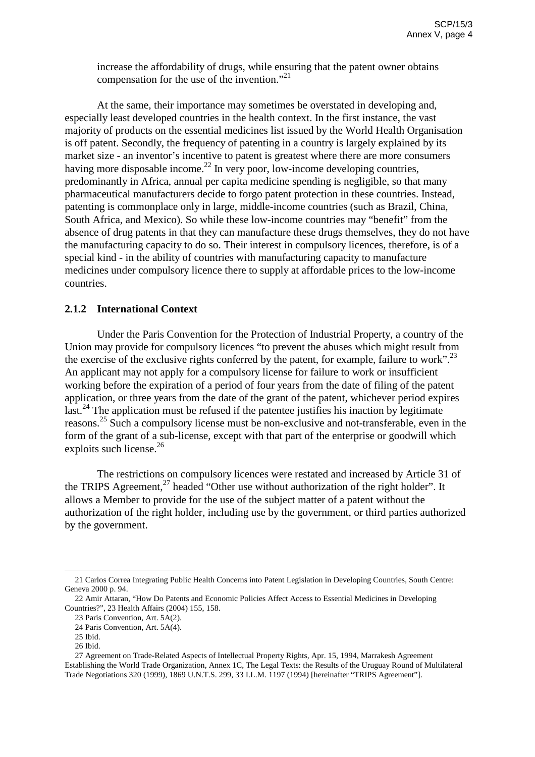increase the affordability of drugs, while ensuring that the patent owner obtains compensation for the use of the invention."<sup>21</sup>

At the same, their importance may sometimes be overstated in developing and, especially least developed countries in the health context. In the first instance, the vast majority of products on the essential medicines list issued by the World Health Organisation is off patent. Secondly, the frequency of patenting in a country is largely explained by its market size - an inventor's incentive to patent is greatest where there are more consumers having more disposable income.<sup>22</sup> In very poor, low-income developing countries, predominantly in Africa, annual per capita medicine spending is negligible, so that many pharmaceutical manufacturers decide to forgo patent protection in these countries. Instead, patenting is commonplace only in large, middle-income countries (such as Brazil, China, South Africa, and Mexico). So while these low-income countries may "benefit" from the absence of drug patents in that they can manufacture these drugs themselves, they do not have the manufacturing capacity to do so. Their interest in compulsory licences, therefore, is of a special kind - in the ability of countries with manufacturing capacity to manufacture medicines under compulsory licence there to supply at affordable prices to the low-income countries.

#### **2.1.2 International Context**

Under the Paris Convention for the Protection of Industrial Property, a country of the Union may provide for compulsory licences "to prevent the abuses which might result from the exercise of the exclusive rights conferred by the patent, for example, failure to work".<sup>23</sup> An applicant may not apply for a compulsory license for failure to work or insufficient working before the expiration of a period of four years from the date of filing of the patent application, or three years from the date of the grant of the patent, whichever period expires last.<sup>24</sup> The application must be refused if the patentee justifies his inaction by legitimate reasons. <sup>25</sup> Such a compulsory license must be non-exclusive and not-transferable, even in the form of the grant of a sub-license, except with that part of the enterprise or goodwill which exploits such license. 26

The restrictions on compulsory licences were restated and increased by Article 31 of the TRIPS Agreement,<sup>27</sup> headed "Other use without authorization of the right holder". It allows a Member to provide for the use of the subject matter of a patent without the authorization of the right holder, including use by the government, or third parties authorized by the government.

<sup>21</sup> Carlos Correa Integrating Public Health Concerns into Patent Legislation in Developing Countries, South Centre: Geneva 2000 p. 94.

<sup>22</sup> Amir Attaran, "How Do Patents and Economic Policies Affect Access to Essential Medicines in Developing Countries?", 23 Health Affairs (2004) 155, 158.

<sup>23</sup> Paris Convention, Art. 5A(2).

<sup>24</sup> Paris Convention, Art. 5A(4).

<sup>25</sup> Ibid.

<sup>26</sup> Ibid.

<sup>27</sup> Agreement on Trade-Related Aspects of Intellectual Property Rights, Apr. 15, 1994, Marrakesh Agreement Establishing the World Trade Organization, Annex 1C, The Legal Texts: the Results of the Uruguay Round of Multilateral Trade Negotiations 320 (1999), 1869 U.N.T.S. 299, 33 I.L.M. 1197 (1994) [hereinafter "TRIPS Agreement"].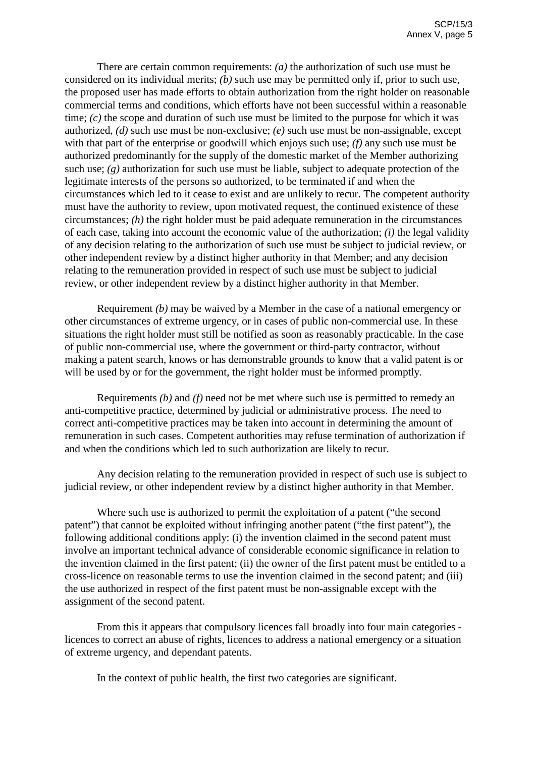There are certain common requirements: *(a)* the authorization of such use must be considered on its individual merits; *(b)* such use may be permitted only if, prior to such use, the proposed user has made efforts to obtain authorization from the right holder on reasonable commercial terms and conditions, which efforts have not been successful within a reasonable time; *(c)* the scope and duration of such use must be limited to the purpose for which it was authorized, *(d)* such use must be non-exclusive; *(e)* such use must be non-assignable, except with that part of the enterprise or goodwill which enjoys such use; *(f)* any such use must be authorized predominantly for the supply of the domestic market of the Member authorizing such use; *(g)* authorization for such use must be liable, subject to adequate protection of the legitimate interests of the persons so authorized, to be terminated if and when the circumstances which led to it cease to exist and are unlikely to recur. The competent authority must have the authority to review, upon motivated request, the continued existence of these circumstances; *(h)* the right holder must be paid adequate remuneration in the circumstances of each case, taking into account the economic value of the authorization; *(i)* the legal validity of any decision relating to the authorization of such use must be subject to judicial review, or other independent review by a distinct higher authority in that Member; and any decision relating to the remuneration provided in respect of such use must be subject to judicial review, or other independent review by a distinct higher authority in that Member.

Requirement *(b)* may be waived by a Member in the case of a national emergency or other circumstances of extreme urgency, or in cases of public non-commercial use. In these situations the right holder must still be notified as soon as reasonably practicable. In the case of public non-commercial use, where the government or third-party contractor, without making a patent search, knows or has demonstrable grounds to know that a valid patent is or will be used by or for the government, the right holder must be informed promptly.

Requirements *(b)* and *(f)* need not be met where such use is permitted to remedy an anti-competitive practice, determined by judicial or administrative process. The need to correct anti-competitive practices may be taken into account in determining the amount of remuneration in such cases. Competent authorities may refuse termination of authorization if and when the conditions which led to such authorization are likely to recur.

Any decision relating to the remuneration provided in respect of such use is subject to judicial review, or other independent review by a distinct higher authority in that Member.

Where such use is authorized to permit the exploitation of a patent ("the second patent") that cannot be exploited without infringing another patent ("the first patent"), the following additional conditions apply: (i) the invention claimed in the second patent must involve an important technical advance of considerable economic significance in relation to the invention claimed in the first patent; (ii) the owner of the first patent must be entitled to a cross-licence on reasonable terms to use the invention claimed in the second patent; and (iii) the use authorized in respect of the first patent must be non-assignable except with the assignment of the second patent.

From this it appears that compulsory licences fall broadly into four main categories licences to correct an abuse of rights, licences to address a national emergency or a situation of extreme urgency, and dependant patents.

In the context of public health, the first two categories are significant.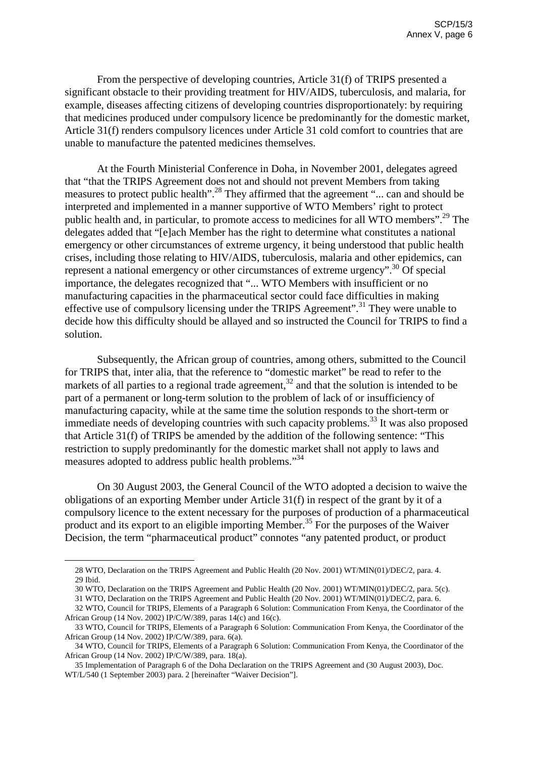From the perspective of developing countries, Article 31(f) of TRIPS presented a significant obstacle to their providing treatment for HIV/AIDS, tuberculosis, and malaria, for example, diseases affecting citizens of developing countries disproportionately: by requiring that medicines produced under compulsory licence be predominantly for the domestic market, Article 31(f) renders compulsory licences under Article 31 cold comfort to countries that are unable to manufacture the patented medicines themselves.

At the Fourth Ministerial Conference in Doha, in November 2001, delegates agreed that "that the TRIPS Agreement does not and should not prevent Members from taking measures to protect public health".<sup>28</sup> They affirmed that the agreement "... can and should be interpreted and implemented in a manner supportive of WTO Members' right to protect public health and, in particular, to promote access to medicines for all WTO members".<sup>29</sup> The delegates added that "[e]ach Member has the right to determine what constitutes a national emergency or other circumstances of extreme urgency, it being understood that public health crises, including those relating to HIV/AIDS, tuberculosis, malaria and other epidemics, can represent a national emergency or other circumstances of extreme urgency".<sup>30</sup> Of special importance, the delegates recognized that "... WTO Members with insufficient or no manufacturing capacities in the pharmaceutical sector could face difficulties in making effective use of compulsory licensing under the TRIPS Agreement".<sup>31</sup> They were unable to decide how this difficulty should be allayed and so instructed the Council for TRIPS to find a solution.

Subsequently, the African group of countries, among others, submitted to the Council for TRIPS that, inter alia, that the reference to "domestic market" be read to refer to the markets of all parties to a regional trade agreement,<sup>32</sup> and that the solution is intended to be part of a permanent or long-term solution to the problem of lack of or insufficiency of manufacturing capacity, while at the same time the solution responds to the short-term or immediate needs of developing countries with such capacity problems. <sup>33</sup> It was also proposed that Article 31(f) of TRIPS be amended by the addition of the following sentence: "This restriction to supply predominantly for the domestic market shall not apply to laws and measures adopted to address public health problems."<sup>34</sup>

On 30 August 2003, the General Council of the WTO adopted a decision to waive the obligations of an exporting Member under Article 31(f) in respect of the grant by it of a compulsory licence to the extent necessary for the purposes of production of a pharmaceutical product and its export to an eligible importing Member. <sup>35</sup> For the purposes of the Waiver Decision, the term "pharmaceutical product" connotes "any patented product, or product

<sup>28</sup> WTO, Declaration on the TRIPS Agreement and Public Health (20 Nov. 2001) WT/MIN(01)/DEC/2, para. 4. 29 Ibid.

<sup>30</sup> WTO, Declaration on the TRIPS Agreement and Public Health (20 Nov. 2001) WT/MIN(01)/DEC/2, para. 5(c).

<sup>31</sup> WTO, Declaration on the TRIPS Agreement and Public Health (20 Nov. 2001) WT/MIN(01)/DEC/2, para. 6.

<sup>32</sup> WTO, Council for TRIPS, Elements of a Paragraph 6 Solution: Communication From Kenya, the Coordinator of the African Group (14 Nov. 2002) IP/C/W/389, paras 14(c) and 16(c).

<sup>33</sup> WTO, Council for TRIPS, Elements of a Paragraph 6 Solution: Communication From Kenya, the Coordinator of the African Group (14 Nov. 2002) IP/C/W/389, para. 6(a).

<sup>34</sup> WTO, Council for TRIPS, Elements of a Paragraph 6 Solution: Communication From Kenya, the Coordinator of the African Group (14 Nov. 2002) IP/C/W/389, para. 18(a).

<sup>35</sup> Implementation of Paragraph 6 of the Doha Declaration on the TRIPS Agreement and (30 August 2003), Doc. WT/L/540 (1 September 2003) para. 2 [hereinafter "Waiver Decision"].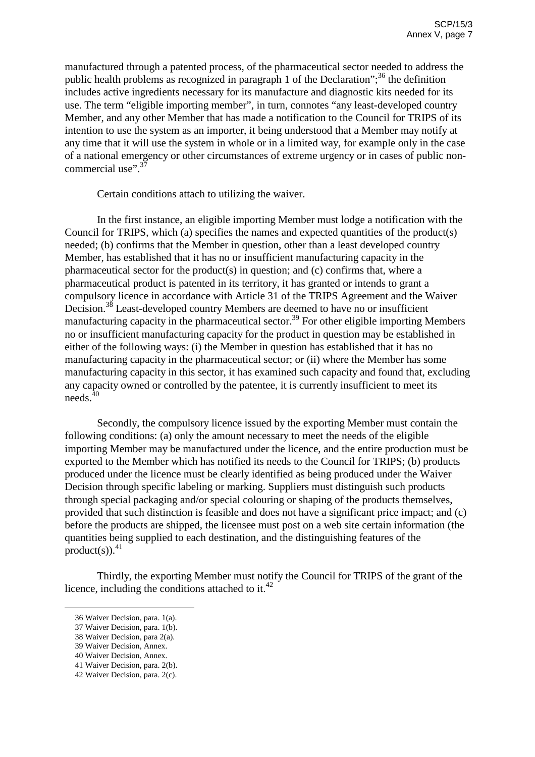manufactured through a patented process, of the pharmaceutical sector needed to address the public health problems as recognized in paragraph 1 of the Declaration";<sup>36</sup> the definition includes active ingredients necessary for its manufacture and diagnostic kits needed for its use. The term "eligible importing member", in turn, connotes "any least-developed country Member, and any other Member that has made a notification to the Council for TRIPS of its intention to use the system as an importer, it being understood that a Member may notify at any time that it will use the system in whole or in a limited way, for example only in the case of a national emergency or other circumstances of extreme urgency or in cases of public noncommercial use".<sup>37</sup>

Certain conditions attach to utilizing the waiver.

In the first instance, an eligible importing Member must lodge a notification with the Council for TRIPS, which (a) specifies the names and expected quantities of the product(s) needed; (b) confirms that the Member in question, other than a least developed country Member, has established that it has no or insufficient manufacturing capacity in the pharmaceutical sector for the product(s) in question; and (c) confirms that, where a pharmaceutical product is patented in its territory, it has granted or intends to grant a compulsory licence in accordance with Article 31 of the TRIPS Agreement and the Waiver Decision.<sup>38</sup> Least-developed country Members are deemed to have no or insufficient manufacturing capacity in the pharmaceutical sector.<sup>39</sup> For other eligible importing Members no or insufficient manufacturing capacity for the product in question may be established in either of the following ways: (i) the Member in question has established that it has no manufacturing capacity in the pharmaceutical sector; or (ii) where the Member has some manufacturing capacity in this sector, it has examined such capacity and found that, excluding any capacity owned or controlled by the patentee, it is currently insufficient to meet its  $\mathrm{needs.}^{\bar{40}}$ 

Secondly, the compulsory licence issued by the exporting Member must contain the following conditions: (a) only the amount necessary to meet the needs of the eligible importing Member may be manufactured under the licence, and the entire production must be exported to the Member which has notified its needs to the Council for TRIPS; (b) products produced under the licence must be clearly identified as being produced under the Waiver Decision through specific labeling or marking. Suppliers must distinguish such products through special packaging and/or special colouring or shaping of the products themselves, provided that such distinction is feasible and does not have a significant price impact; and (c) before the products are shipped, the licensee must post on a web site certain information (the quantities being supplied to each destination, and the distinguishing features of the  $product(s)$ <sup>41</sup>

Thirdly, the exporting Member must notify the Council for TRIPS of the grant of the licence, including the conditions attached to it.<sup>42</sup>

<sup>36</sup> Waiver Decision, para. 1(a).

<sup>37</sup> Waiver Decision, para. 1(b).

<sup>38</sup> Waiver Decision, para 2(a).

<sup>39</sup> Waiver Decision, Annex.

<sup>40</sup> Waiver Decision, Annex.

<sup>41</sup> Waiver Decision, para. 2(b).

<sup>42</sup> Waiver Decision, para. 2(c).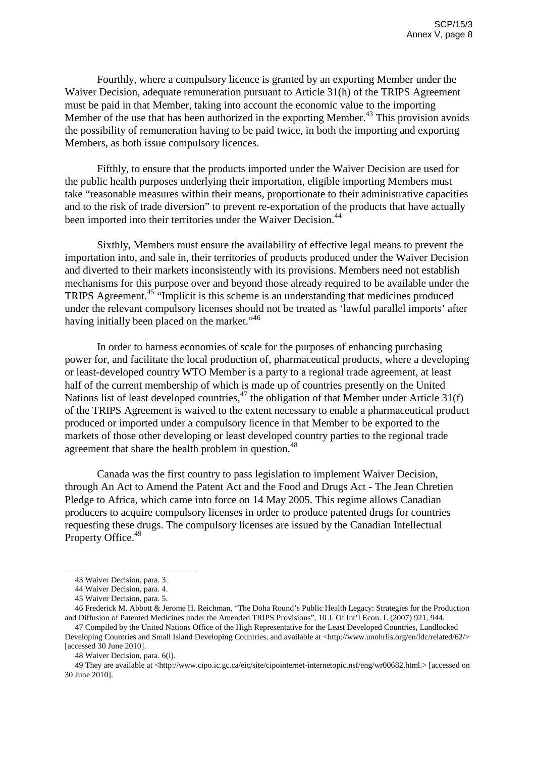Fourthly, where a compulsory licence is granted by an exporting Member under the Waiver Decision, adequate remuneration pursuant to Article 31(h) of the TRIPS Agreement must be paid in that Member, taking into account the economic value to the importing Member of the use that has been authorized in the exporting Member.<sup>43</sup> This provision avoids the possibility of remuneration having to be paid twice, in both the importing and exporting Members, as both issue compulsory licences.

Fifthly, to ensure that the products imported under the Waiver Decision are used for the public health purposes underlying their importation, eligible importing Members must take "reasonable measures within their means, proportionate to their administrative capacities and to the risk of trade diversion" to prevent re-exportation of the products that have actually been imported into their territories under the Waiver Decision.<sup>44</sup>

Sixthly, Members must ensure the availability of effective legal means to prevent the importation into, and sale in, their territories of products produced under the Waiver Decision and diverted to their markets inconsistently with its provisions. Members need not establish mechanisms for this purpose over and beyond those already required to be available under the TRIPS Agreement.<sup>45</sup> "Implicit is this scheme is an understanding that medicines produced under the relevant compulsory licenses should not be treated as 'lawful parallel imports' after having initially been placed on the market."<sup>46</sup>

In order to harness economies of scale for the purposes of enhancing purchasing power for, and facilitate the local production of, pharmaceutical products, where a developing or least-developed country WTO Member is a party to a regional trade agreement, at least half of the current membership of which is made up of countries presently on the United Nations list of least developed countries,  $47$  the obligation of that Member under Article 31(f) of the TRIPS Agreement is waived to the extent necessary to enable a pharmaceutical product produced or imported under a compulsory licence in that Member to be exported to the markets of those other developing or least developed country parties to the regional trade agreement that share the health problem in question.<sup>48</sup>

Canada was the first country to pass legislation to implement Waiver Decision, through An Act to Amend the Patent Act and the Food and Drugs Act - The Jean Chretien Pledge to Africa, which came into force on 14 May 2005. This regime allows Canadian producers to acquire compulsory licenses in order to produce patented drugs for countries requesting these drugs. The compulsory licenses are issued by the Canadian Intellectual Property Office.<sup>49</sup>

<sup>43</sup> Waiver Decision, para. 3.

<sup>44</sup> Waiver Decision, para. 4.

<sup>45</sup> Waiver Decision, para. 5.

<sup>46</sup> Frederick M. Abbott & Jerome H. Reichman, "The Doha Round's Public Health Legacy: Strategies for the Production and Diffusion of Patented Medicines under the Amended TRIPS Provisions", 10 J. Of Int'l Econ. L (2007) 921, 944.

<sup>47</sup> Compiled by the United Nations Office of the High Representative for the Least Developed Countries, Landlocked Developing Countries and Small Island Developing Countries, and available at <http://www.unohrlls.org/en/ldc/related/62/> [accessed 30 June 2010].

<sup>48</sup> Waiver Decision, para. 6(i).

<sup>49</sup> They are available at <http://www.cipo.ic.gc.ca/eic/site/cipointernet-internetopic.nsf/eng/wr00682.html.> [accessed on 30 June 2010].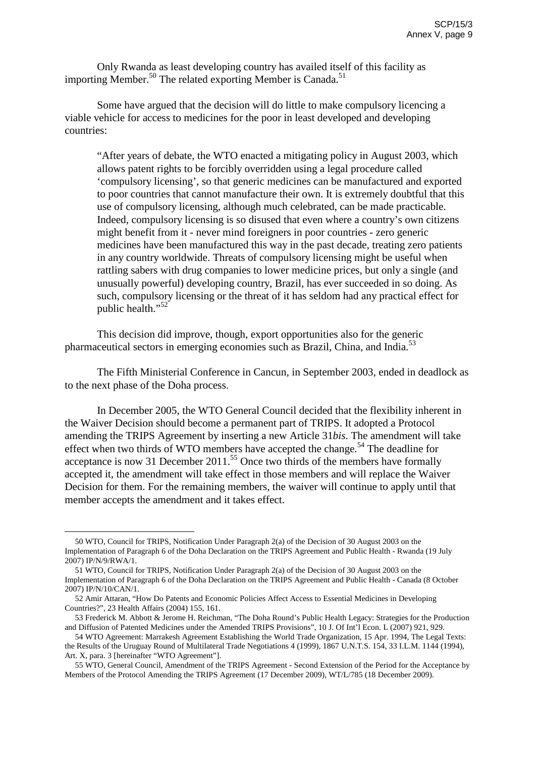Only Rwanda as least developing country has availed itself of this facility as importing Member.<sup>50</sup> The related exporting Member is Canada.<sup>51</sup>

Some have argued that the decision will do little to make compulsory licencing a viable vehicle for access to medicines for the poor in least developed and developing countries:

"After years of debate, the WTO enacted a mitigating policy in August 2003, which allows patent rights to be forcibly overridden using a legal procedure called 'compulsory licensing', so that generic medicines can be manufactured and exported to poor countries that cannot manufacture their own. It is extremely doubtful that this use of compulsory licensing, although much celebrated, can be made practicable. Indeed, compulsory licensing is so disused that even where a country's own citizens might benefit from it - never mind foreigners in poor countries - zero generic medicines have been manufactured this way in the past decade, treating zero patients in any country worldwide. Threats of compulsory licensing might be useful when rattling sabers with drug companies to lower medicine prices, but only a single (and unusually powerful) developing country, Brazil, has ever succeeded in so doing. As such, compulsory licensing or the threat of it has seldom had any practical effect for public health." 52

This decision did improve, though, export opportunities also for the generic pharmaceutical sectors in emerging economies such as Brazil, China, and India.<sup>53</sup>

The Fifth Ministerial Conference in Cancun, in September 2003, ended in deadlock as to the next phase of the Doha process.

In December 2005, the WTO General Council decided that the flexibility inherent in the Waiver Decision should become a permanent part of TRIPS. It adopted a Protocol amending the TRIPS Agreement by inserting a new Article 31*bis*. The amendment will take effect when two thirds of WTO members have accepted the change.<sup>54</sup> The deadline for acceptance is now 31 December 2011.<sup>55</sup> Once two thirds of the members have formally accepted it, the amendment will take effect in those members and will replace the Waiver Decision for them. For the remaining members, the waiver will continue to apply until that member accepts the amendment and it takes effect.

<sup>50</sup> WTO, Council for TRIPS, Notification Under Paragraph 2(a) of the Decision of 30 August 2003 on the Implementation of Paragraph 6 of the Doha Declaration on the TRIPS Agreement and Public Health - Rwanda (19 July 2007) IP/N/9/RWA/1.

<sup>51</sup> WTO, Council for TRIPS, Notification Under Paragraph 2(a) of the Decision of 30 August 2003 on the Implementation of Paragraph 6 of the Doha Declaration on the TRIPS Agreement and Public Health - Canada (8 October 2007) IP/N/10/CAN/1.

<sup>52</sup> Amir Attaran, "How Do Patents and Economic Policies Affect Access to Essential Medicines in Developing Countries?", 23 Health Affairs (2004) 155, 161.

<sup>53</sup> Frederick M. Abbott & Jerome H. Reichman, "The Doha Round's Public Health Legacy: Strategies for the Production and Diffusion of Patented Medicines under the Amended TRIPS Provisions", 10 J. Of Int'l Econ. L (2007) 921, 929.

<sup>54</sup> WTO Agreement: Marrakesh Agreement Establishing the World Trade Organization, 15 Apr. 1994, The Legal Texts: the Results of the Uruguay Round of Multilateral Trade Negotiations 4 (1999), 1867 U.N.T.S. 154, 33 I.L.M. 1144 (1994), Art. X, para. 3 [hereinafter "WTO Agreement"].

<sup>55</sup> WTO, General Council, Amendment of the TRIPS Agreement - Second Extension of the Period for the Acceptance by Members of the Protocol Amending the TRIPS Agreement (17 December 2009), WT/L/785 (18 December 2009).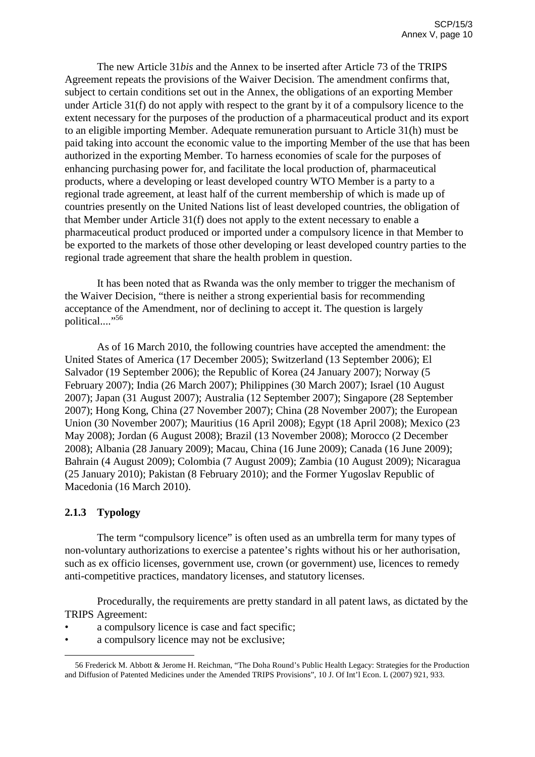The new Article 31*bis* and the Annex to be inserted after Article 73 of the TRIPS Agreement repeats the provisions of the Waiver Decision. The amendment confirms that, subject to certain conditions set out in the Annex, the obligations of an exporting Member under Article 31(f) do not apply with respect to the grant by it of a compulsory licence to the extent necessary for the purposes of the production of a pharmaceutical product and its export to an eligible importing Member. Adequate remuneration pursuant to Article 31(h) must be paid taking into account the economic value to the importing Member of the use that has been authorized in the exporting Member. To harness economies of scale for the purposes of enhancing purchasing power for, and facilitate the local production of, pharmaceutical products, where a developing or least developed country WTO Member is a party to a regional trade agreement, at least half of the current membership of which is made up of countries presently on the United Nations list of least developed countries, the obligation of that Member under Article 31(f) does not apply to the extent necessary to enable a pharmaceutical product produced or imported under a compulsory licence in that Member to be exported to the markets of those other developing or least developed country parties to the regional trade agreement that share the health problem in question.

It has been noted that as Rwanda was the only member to trigger the mechanism of the Waiver Decision, "there is neither a strong experiential basis for recommending acceptance of the Amendment, nor of declining to accept it. The question is largely political...."<sup>56</sup>

As of 16 March 2010, the following countries have accepted the amendment: the United States of America (17 December 2005); Switzerland (13 September 2006); El Salvador (19 September 2006); the Republic of Korea (24 January 2007); Norway (5 February 2007); India (26 March 2007); Philippines (30 March 2007); Israel (10 August 2007); Japan (31 August 2007); Australia (12 September 2007); Singapore (28 September 2007); Hong Kong, China (27 November 2007); China (28 November 2007); the European Union (30 November 2007); Mauritius (16 April 2008); Egypt (18 April 2008); Mexico (23 May 2008); Jordan (6 August 2008); Brazil (13 November 2008); Morocco (2 December 2008); Albania (28 January 2009); Macau, China (16 June 2009); Canada (16 June 2009); Bahrain (4 August 2009); Colombia (7 August 2009); Zambia (10 August 2009); Nicaragua (25 January 2010); Pakistan (8 February 2010); and the Former Yugoslav Republic of Macedonia (16 March 2010).

# **2.1.3 Typology**

The term "compulsory licence" is often used as an umbrella term for many types of non-voluntary authorizations to exercise a patentee's rights without his or her authorisation, such as ex officio licenses, government use, crown (or government) use, licences to remedy anti-competitive practices, mandatory licenses, and statutory licenses.

Procedurally, the requirements are pretty standard in all patent laws, as dictated by the TRIPS Agreement:

- a compulsory licence is case and fact specific;
- a compulsory licence may not be exclusive;

<sup>56</sup> Frederick M. Abbott & Jerome H. Reichman, "The Doha Round's Public Health Legacy: Strategies for the Production and Diffusion of Patented Medicines under the Amended TRIPS Provisions", 10 J. Of Int'l Econ. L (2007) 921, 933.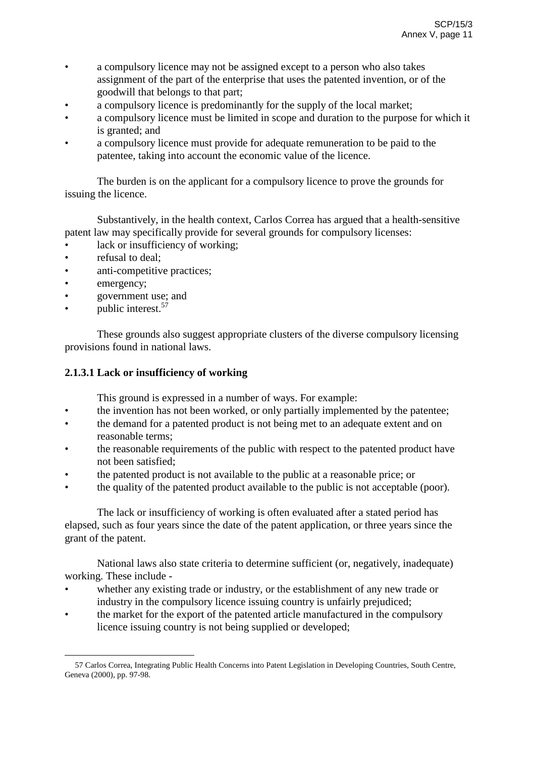- a compulsory licence may not be assigned except to a person who also takes assignment of the part of the enterprise that uses the patented invention, or of the goodwill that belongs to that part;
- a compulsory licence is predominantly for the supply of the local market;
- a compulsory licence must be limited in scope and duration to the purpose for which it is granted; and
- a compulsory licence must provide for adequate remuneration to be paid to the patentee, taking into account the economic value of the licence.

The burden is on the applicant for a compulsory licence to prove the grounds for issuing the licence.

Substantively, in the health context, Carlos Correa has argued that a health-sensitive patent law may specifically provide for several grounds for compulsory licenses:

- lack or insufficiency of working;
- refusal to deal;
- anti-competitive practices;
- emergency;
- government use; and
- public interest.<sup>57</sup>

These grounds also suggest appropriate clusters of the diverse compulsory licensing provisions found in national laws.

# **2.1.3.1 Lack or insufficiency of working**

This ground is expressed in a number of ways. For example:

- the invention has not been worked, or only partially implemented by the patentee;
- the demand for a patented product is not being met to an adequate extent and on reasonable terms;
- the reasonable requirements of the public with respect to the patented product have not been satisfied;
- the patented product is not available to the public at a reasonable price; or
- the quality of the patented product available to the public is not acceptable (poor).

The lack or insufficiency of working is often evaluated after a stated period has elapsed, such as four years since the date of the patent application, or three years since the grant of the patent.

National laws also state criteria to determine sufficient (or, negatively, inadequate) working. These include -

- whether any existing trade or industry, or the establishment of any new trade or industry in the compulsory licence issuing country is unfairly prejudiced;
- the market for the export of the patented article manufactured in the compulsory licence issuing country is not being supplied or developed;

<sup>57</sup> Carlos Correa, Integrating Public Health Concerns into Patent Legislation in Developing Countries, South Centre, Geneva (2000), pp. 97-98.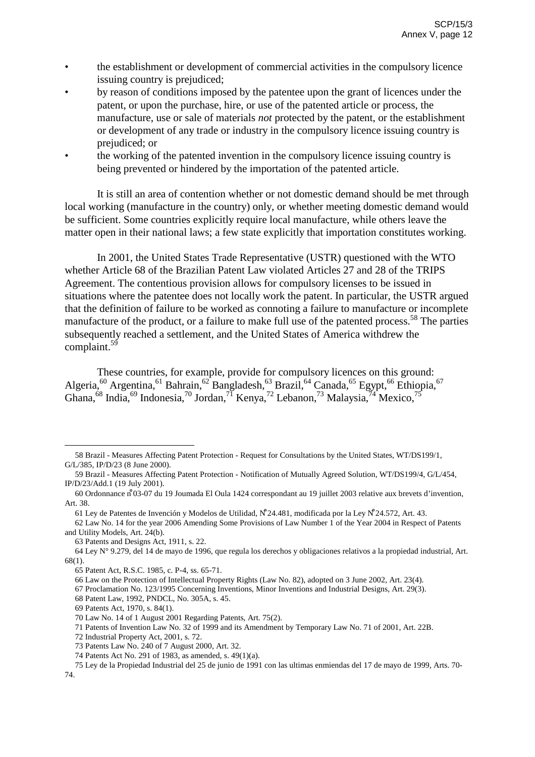- the establishment or development of commercial activities in the compulsory licence issuing country is prejudiced;
- by reason of conditions imposed by the patentee upon the grant of licences under the patent, or upon the purchase, hire, or use of the patented article or process, the manufacture, use or sale of materials *not* protected by the patent, or the establishment or development of any trade or industry in the compulsory licence issuing country is prejudiced; or
- the working of the patented invention in the compulsory licence issuing country is being prevented or hindered by the importation of the patented article.

It is still an area of contention whether or not domestic demand should be met through local working (manufacture in the country) only, or whether meeting domestic demand would be sufficient. Some countries explicitly require local manufacture, while others leave the matter open in their national laws; a few state explicitly that importation constitutes working.

In 2001, the United States Trade Representative (USTR) questioned with the WTO whether Article 68 of the Brazilian Patent Law violated Articles 27 and 28 of the TRIPS Agreement. The contentious provision allows for compulsory licenses to be issued in situations where the patentee does not locally work the patent. In particular, the USTR argued that the definition of failure to be worked as connoting a failure to manufacture or incomplete manufacture of the product, or a failure to make full use of the patented process.<sup>58</sup> The parties subsequently reached a settlement, and the United States of America withdrew the complaint. 59

These countries, for example, provide for compulsory licences on this ground: Algeria,<sup>60</sup> Argentina,<sup>61</sup> Bahrain,<sup>62</sup> Bangladesh,<sup>63</sup> Brazil,<sup>64</sup> Canada,<sup>65</sup> Egypt,<sup>66</sup> Ethiopia,<sup>67</sup> Ghana,<sup>68</sup> India,<sup>69</sup> Indonesia,<sup>70</sup> Jordan,<sup>71</sup> Kenya,<sup>72</sup> Lebanon,<sup>73</sup> Malaysia,<sup>74</sup> Mexico,<sup>75</sup>

61 Ley de Patentes de Invención y Modelos de Utilidad, N24.481, modificada por la Ley N24.572, Art. 43.

<sup>58</sup> Brazil - Measures Affecting Patent Protection - Request for Consultations by the United States, WT/DS199/1, G/L/385, IP/D/23 (8 June 2000).

<sup>59</sup> Brazil - Measures Affecting Patent Protection - Notification of Mutually Agreed Solution, WT/DS199/4, G/L/454, IP/D/23/Add.1 (19 July 2001).

<sup>60</sup> Ordonnance n03-07 du 19 Joumada El Oula 1424 correspondant au 19 juillet 2003 relative aux brevets d'invention, Art. 38.

<sup>62</sup> Law No. 14 for the year 2006 Amending Some Provisions of Law Number 1 of the Year 2004 in Respect of Patents and Utility Models, Art. 24(b).

<sup>63</sup> Patents and Designs Act, 1911, s. 22.

<sup>64</sup> Ley N° 9.279, del 14 de mayo de 1996, que regula los derechos y obligaciones relativos a la propiedad industrial, Art. 68(1).

<sup>65</sup> Patent Act, R.S.C. 1985, c. P-4, ss. 65-71.

<sup>66</sup> Law on the Protection of Intellectual Property Rights (Law No. 82), adopted on 3 June 2002, Art. 23(4).

<sup>67</sup> Proclamation No. 123/1995 Concerning Inventions, Minor Inventions and Industrial Designs, Art. 29(3).

<sup>68</sup> Patent Law, 1992, PNDCL, No. 305A, s. 45.

<sup>69</sup> Patents Act, 1970, s. 84(1).

<sup>70</sup> Law No. 14 of 1 August 2001 Regarding Patents, Art. 75(2).

<sup>71</sup> Patents of Invention Law No. 32 of 1999 and its Amendment by Temporary Law No. 71 of 2001, Art. 22B.

<sup>72</sup> Industrial Property Act, 2001, s. 72.

<sup>73</sup> Patents Law No. 240 of 7 August 2000, Art. 32.

<sup>74</sup> Patents Act No. 291 of 1983, as amended, s. 49(1)(a).

<sup>75</sup> Ley de la Propiedad Industrial del 25 de junio de 1991 con las ultimas enmiendas del 17 de mayo de 1999, Arts. 70- 74.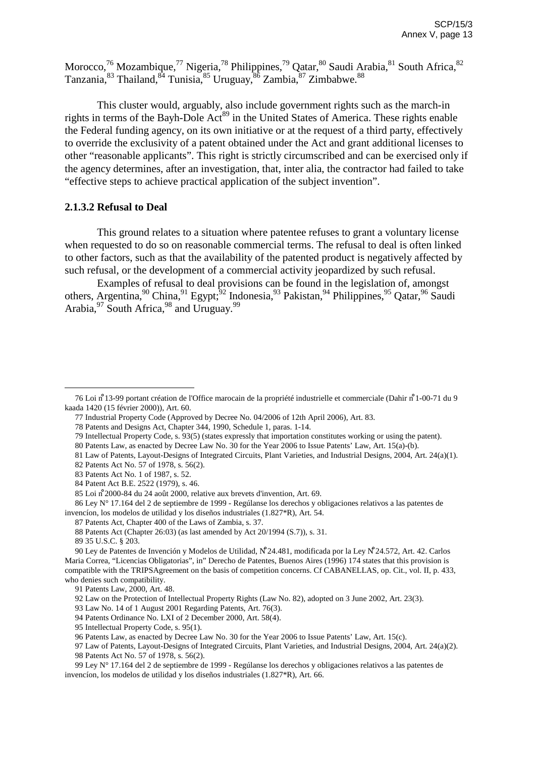Morocco,<sup>76</sup> Mozambique,<sup>77</sup> Nigeria,<sup>78</sup> Philippines,<sup>79</sup> Qatar,<sup>80</sup> Saudi Arabia,<sup>81</sup> South Africa,<sup>82</sup> Tanzania, <sup>83</sup> Thailand, <sup>84</sup> Tunisia, <sup>85</sup> Uruguay, <sup>86</sup> Zambia, <sup>87</sup> Zimbabwe. <sup>88</sup>

This cluster would, arguably, also include government rights such as the march-in rights in terms of the Bayh-Dole Act<sup>89</sup> in the United States of America. These rights enable the Federal funding agency, on its own initiative or at the request of a third party, effectively to override the exclusivity of a patent obtained under the Act and grant additional licenses to other "reasonable applicants". This right is strictly circumscribed and can be exercised only if the agency determines, after an investigation, that, inter alia, the contractor had failed to take "effective steps to achieve practical application of the subject invention".

#### **2.1.3.2 Refusal to Deal**

This ground relates to a situation where patentee refuses to grant a voluntary license when requested to do so on reasonable commercial terms. The refusal to deal is often linked to other factors, such as that the availability of the patented product is negatively affected by such refusal, or the development of a commercial activity jeopardized by such refusal.

Examples of refusal to deal provisions can be found in the legislation of, amongst others, Argentina,<sup>90</sup> China,<sup>91</sup> Egypt;<sup>52</sup> Indonesia,<sup>93</sup> Pakistan,<sup>94</sup> Philippines,<sup>95</sup> Qatar,<sup>96</sup> Saudi Arabia,<sup>97</sup> South Africa,<sup>98</sup> and Uruguay.<sup>99</sup>

<sup>76</sup> Loi n° 13-99 portant création de l'Office marocain de la propriété industrielle et commerciale (Dahir n° 1-00-71 du 9 kaada 1420 (15 février 2000)), Art. 60.

<sup>77</sup> Industrial Property Code (Approved by Decree No. 04/2006 of 12th April 2006), Art. 83.

<sup>78</sup> Patents and Designs Act, Chapter 344, 1990, Schedule 1, paras. 1-14.

<sup>79</sup> Intellectual Property Code, s. 93(5) (states expressly that importation constitutes working or using the patent).

<sup>80</sup> Patents Law, as enacted by Decree Law No. 30 for the Year 2006 to Issue Patents' Law, Art. 15(a)-(b).

<sup>81</sup> Law of Patents, Layout-Designs of Integrated Circuits, Plant Varieties, and Industrial Designs, 2004, Art. 24(a)(1). 82 Patents Act No. 57 of 1978, s. 56(2).

<sup>83</sup> Patents Act No. 1 of 1987, s. 52.

<sup>84</sup> Patent Act B.E. 2522 (1979), s. 46.

<sup>85</sup> Loi n2000-84 du 24 août 2000, relative aux brevets d'invention, Art. 69.

<sup>86</sup> Ley N° 17.164 del 2 de septiembre de 1999 - Regúlanse los derechos y obligaciones relativos a las patentes de invencíon, los modelos de utilidad y los diseños industriales (1.827\*R), Art. 54.

<sup>87</sup> Patents Act, Chapter 400 of the Laws of Zambia, s. 37.

<sup>88</sup> Patents Act (Chapter 26:03) (as last amended by Act 20/1994 (S.7)), s. 31.

<sup>89</sup> 35 U.S.C. § 203.

<sup>90</sup> Ley de Patentes de Invención y Modelos de Utilidad, N24.481, modificada por la Ley N24.572, Art. 42. Carlos Maria Correa, "Licencias Obligatorias", in" Derecho de Patentes, Buenos Aires (1996) 174 states that this provision is compatible with the TRIPSAgreement on the basis of competition concerns. Cf CABANELLAS, op. Cit., vol. II, p. 433, who denies such compatibility.

<sup>91</sup> Patents Law, 2000, Art. 48.

<sup>92</sup> Law on the Protection of Intellectual Property Rights (Law No. 82), adopted on 3 June 2002, Art. 23(3).

<sup>93</sup> Law No. 14 of 1 August 2001 Regarding Patents, Art. 76(3).

<sup>94</sup> Patents Ordinance No. LXI of 2 December 2000, Art. 58(4).

<sup>95</sup> Intellectual Property Code, s. 95(1).

<sup>96</sup> Patents Law, as enacted by Decree Law No. 30 for the Year 2006 to Issue Patents' Law, Art. 15(c).

<sup>97</sup> Law of Patents, Layout-Designs of Integrated Circuits, Plant Varieties, and Industrial Designs, 2004, Art. 24(a)(2). 98 Patents Act No. 57 of 1978, s. 56(2).

<sup>99</sup> Ley N° 17.164 del 2 de septiembre de 1999 - Regúlanse los derechos y obligaciones relativos a las patentes de invencíon, los modelos de utilidad y los diseños industriales (1.827\*R), Art. 66.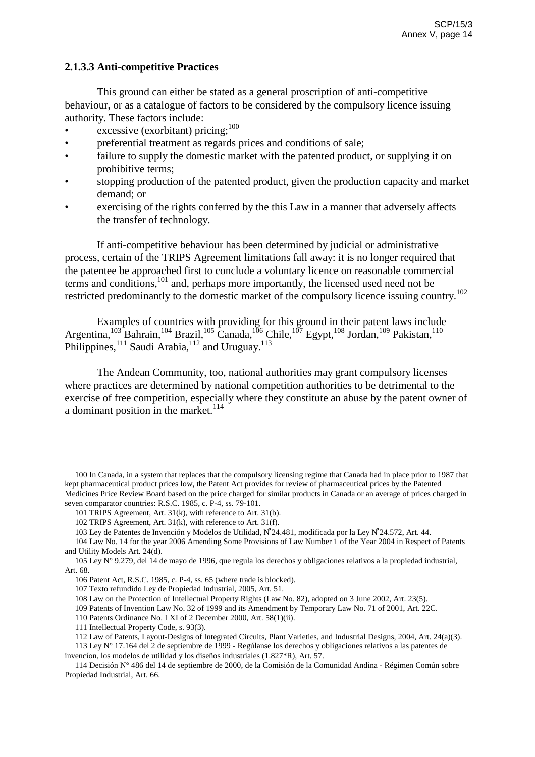# **2.1.3.3 Anti-competitive Practices**

This ground can either be stated as a general proscription of anti-competitive behaviour, or as a catalogue of factors to be considered by the compulsory licence issuing authority. These factors include:

- excessive (exorbitant) pricing; $^{100}$
- preferential treatment as regards prices and conditions of sale;
- failure to supply the domestic market with the patented product, or supplying it on prohibitive terms;
- stopping production of the patented product, given the production capacity and market demand; or
- exercising of the rights conferred by the this Law in a manner that adversely affects the transfer of technology.

If anti-competitive behaviour has been determined by judicial or administrative process, certain of the TRIPS Agreement limitations fall away: it is no longer required that the patentee be approached first to conclude a voluntary licence on reasonable commercial terms and conditions, <sup>101</sup> and, perhaps more importantly, the licensed used need not be restricted predominantly to the domestic market of the compulsory licence issuing country.<sup>102</sup>

Examples of countries with providing for this ground in their patent laws include Argentina, <sup>103</sup> Bahrain, <sup>104</sup> Brazil, <sup>105</sup> Canada, <sup>106</sup> Chile, <sup>107</sup> Egypt, <sup>108</sup> Jordan, <sup>109</sup> Pakistan, <sup>110</sup> Philippines, <sup>111</sup> Saudi Arabia, <sup>112</sup> and Uruguay.<sup>113</sup>

The Andean Community, too, national authorities may grant compulsory licenses where practices are determined by national competition authorities to be detrimental to the exercise of free competition, especially where they constitute an abuse by the patent owner of a dominant position in the market.<sup>114</sup>

109 Patents of Invention Law No. 32 of 1999 and its Amendment by Temporary Law No. 71 of 2001, Art. 22C.

<sup>100</sup> In Canada, in a system that replaces that the compulsory licensing regime that Canada had in place prior to 1987 that kept pharmaceutical product prices low, the Patent Act provides for review of pharmaceutical prices by the Patented Medicines Price Review Board based on the price charged for similar products in Canada or an average of prices charged in seven comparator countries: R.S.C. 1985, c. P-4, ss. 79-101.

<sup>101</sup> TRIPS Agreement, Art. 31(k), with reference to Art. 31(b).

<sup>102</sup> TRIPS Agreement, Art. 31(k), with reference to Art. 31(f).

<sup>103</sup> Ley de Patentes de Invención y Modelos de Utilidad, N24.481, modificada por la Ley N24.572, Art. 44.

<sup>104</sup> Law No. 14 for the year 2006 Amending Some Provisions of Law Number 1 of the Year 2004 in Respect of Patents and Utility Models Art. 24(d).

<sup>105</sup> Ley N° 9.279, del 14 de mayo de 1996, que regula los derechos y obligaciones relativos a la propiedad industrial, Art. 68.

<sup>106</sup> Patent Act, R.S.C. 1985, c. P-4, ss. 65 (where trade is blocked).

<sup>107</sup> Texto refundido Ley de Propiedad Industrial, 2005, Art. 51.

<sup>108</sup> Law on the Protection of Intellectual Property Rights (Law No. 82), adopted on 3 June 2002, Art. 23(5).

<sup>110</sup> Patents Ordinance No. LXI of 2 December 2000, Art. 58(1)(ii).

<sup>111</sup> Intellectual Property Code, s. 93(3).

<sup>112</sup> Law of Patents, Layout-Designs of Integrated Circuits, Plant Varieties, and Industrial Designs, 2004, Art. 24(a)(3).

<sup>113</sup> Ley N° 17.164 del 2 de septiembre de 1999 - Regúlanse los derechos y obligaciones relativos a las patentes de invencíon, los modelos de utilidad y los diseños industriales (1.827\*R), Art. 57.

<sup>114</sup> Decisión N° 486 del 14 de septiembre de 2000, de la Comisión de la Comunidad Andina - Régimen Común sobre Propiedad Industrial, Art. 66.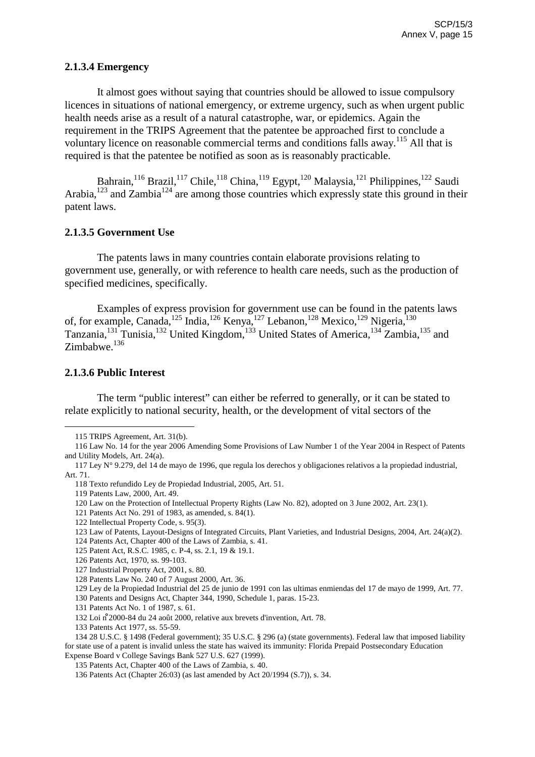#### **2.1.3.4 Emergency**

It almost goes without saying that countries should be allowed to issue compulsory licences in situations of national emergency, or extreme urgency, such as when urgent public health needs arise as a result of a natural catastrophe, war, or epidemics. Again the requirement in the TRIPS Agreement that the patentee be approached first to conclude a voluntary licence on reasonable commercial terms and conditions falls away.<sup>115</sup> All that is required is that the patentee be notified as soon as is reasonably practicable.

Bahrain, <sup>116</sup> Brazil, <sup>117</sup> Chile, <sup>118</sup> China, <sup>119</sup> Egypt, <sup>120</sup> Malaysia, <sup>121</sup> Philippines, <sup>122</sup> Saudi Arabia,<sup>123</sup> and Zambia<sup>124</sup> are among those countries which expressly state this ground in their patent laws.

#### **2.1.3.5 Government Use**

The patents laws in many countries contain elaborate provisions relating to government use, generally, or with reference to health care needs, such as the production of specified medicines, specifically.

Examples of express provision for government use can be found in the patents laws of, for example, Canada, <sup>125</sup> India, <sup>126</sup> Kenya, <sup>127</sup> Lebanon, <sup>128</sup> Mexico, <sup>129</sup> Nigeria, <sup>130</sup> Tanzania,<sup>131</sup> Tunisia,<sup>132</sup> United Kingdom,<sup>133</sup> United States of America,<sup>134</sup> Zambia,<sup>135</sup> and Zimbabwe.<sup>136</sup>

# **2.1.3.6 Public Interest**

The term "public interest" can either be referred to generally, or it can be stated to relate explicitly to national security, health, or the development of vital sectors of the

121 Patents Act No. 291 of 1983, as amended, s. 84(1).

124 Patents Act, Chapter 400 of the Laws of Zambia, s. 41.

<sup>115</sup> TRIPS Agreement, Art. 31(b).

<sup>116</sup> Law No. 14 for the year 2006 Amending Some Provisions of Law Number 1 of the Year 2004 in Respect of Patents and Utility Models, Art. 24(a).

<sup>117</sup> Ley N° 9.279, del 14 de mayo de 1996, que regula los derechos y obligaciones relativos a la propiedad industrial, Art. 71.

<sup>118</sup> Texto refundido Ley de Propiedad Industrial, 2005, Art. 51.

<sup>119</sup> Patents Law, 2000, Art. 49.

<sup>120</sup> Law on the Protection of Intellectual Property Rights (Law No. 82), adopted on 3 June 2002, Art. 23(1).

<sup>122</sup> Intellectual Property Code, s. 95(3).

<sup>123</sup> Law of Patents, Layout-Designs of Integrated Circuits, Plant Varieties, and Industrial Designs, 2004, Art. 24(a)(2).

<sup>125</sup> Patent Act, R.S.C. 1985, c. P-4, ss. 2.1, 19 & 19.1. 126 Patents Act, 1970, ss. 99-103.

<sup>127</sup> Industrial Property Act, 2001, s. 80.

<sup>128</sup> Patents Law No. 240 of 7 August 2000, Art. 36.

<sup>129</sup> Ley de la Propiedad Industrial del 25 de junio de 1991 con las ultimas enmiendas del 17 de mayo de 1999, Art. 77. 130 Patents and Designs Act, Chapter 344, 1990, Schedule 1, paras. 15-23.

<sup>131</sup> Patents Act No. 1 of 1987, s. 61.

<sup>132</sup> Loi n2000-84 du 24 août 2000, relative aux brevets d'invention, Art. 78.

<sup>133</sup> Patents Act 1977, ss. 55-59.

<sup>134</sup> 28 U.S.C. § 1498 (Federal government); 35 U.S.C. § 296 (a) (state governments). Federal law that imposed liability for state use of a patent is invalid unless the state has waived its immunity: Florida Prepaid Postsecondary Education Expense Board v College Savings Bank 527 U.S. 627 (1999).

<sup>135</sup> Patents Act, Chapter 400 of the Laws of Zambia, s. 40.

<sup>136</sup> Patents Act (Chapter 26:03) (as last amended by Act 20/1994 (S.7)), s. 34.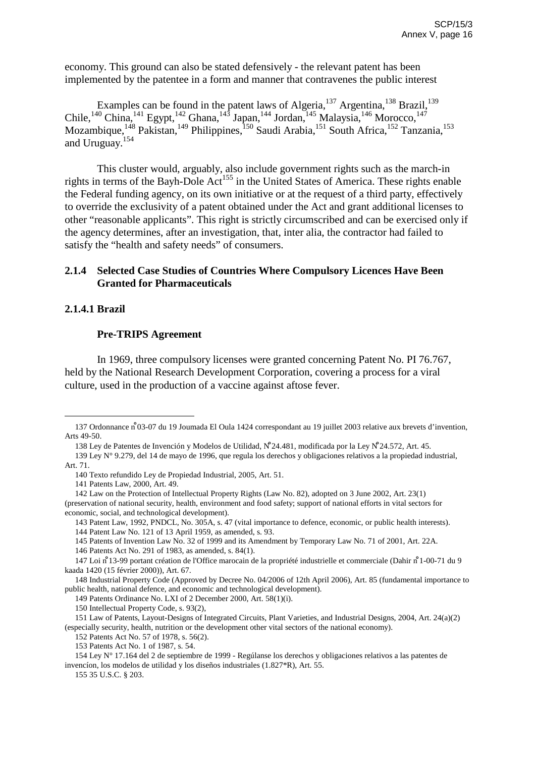economy. This ground can also be stated defensively - the relevant patent has been implemented by the patentee in a form and manner that contravenes the public interest

Examples can be found in the patent laws of Algeria,<sup>137</sup> Argentina,<sup>138</sup> Brazil,<sup>139</sup> Chile,  $^{140}$  China,  $^{141}$  Egypt,  $^{142}$  Ghana,  $^{143}$  Japan,  $^{144}$  Jordan,  $^{145}$  Malaysia,  $^{146}$  Morocco,  $^{147}$ Mozambique, <sup>148</sup> Pakistan, <sup>149</sup> Philippines, <sup>150</sup> Saudi Arabia, <sup>151</sup> South Africa, <sup>152</sup> Tanzania, <sup>153</sup> and Uruguay. 154

This cluster would, arguably, also include government rights such as the march-in rights in terms of the Bayh-Dole Act<sup>155</sup> in the United States of America. These rights enable the Federal funding agency, on its own initiative or at the request of a third party, effectively to override the exclusivity of a patent obtained under the Act and grant additional licenses to other "reasonable applicants". This right is strictly circumscribed and can be exercised only if the agency determines, after an investigation, that, inter alia, the contractor had failed to satisfy the "health and safety needs" of consumers.

# **2.1.4 Selected Case Studies of Countries Where Compulsory Licences Have Been Granted for Pharmaceuticals**

#### **2.1.4.1 Brazil**

#### **Pre-TRIPS Agreement**

In 1969, three compulsory licenses were granted concerning Patent No. PI 76.767, held by the National Research Development Corporation, covering a process for a viral culture, used in the production of a vaccine against aftose fever.

145 Patents of Invention Law No. 32 of 1999 and its Amendment by Temporary Law No. 71 of 2001, Art. 22A.

146 Patents Act No. 291 of 1983, as amended, s. 84(1).

147 Loi n<sup>°</sup> 13-99 portant création de l'Office marocain de la propriété industrielle et commerciale (Dahir n<sup>°</sup> 1-00-71 du 9 kaada 1420 (15 février 2000)), Art. 67.

148 Industrial Property Code (Approved by Decree No. 04/2006 of 12th April 2006), Art. 85 (fundamental importance to public health, national defence, and economic and technological development).

149 Patents Ordinance No. LXI of 2 December 2000, Art. 58(1)(i).

155 35 U.S.C. § 203.

<sup>137</sup> Ordonnance n°03-07 du 19 Joumada El Oula 1424 correspondant au 19 juillet 2003 relative aux brevets d'invention, Arts 49-50.

<sup>138</sup> Ley de Patentes de Invención y Modelos de Utilidad, N24.481, modificada por la Ley N24.572, Art. 45.

<sup>139</sup> Ley N° 9.279, del 14 de mayo de 1996, que regula los derechos y obligaciones relativos a la propiedad industrial, Art. 71.

<sup>140</sup> Texto refundido Ley de Propiedad Industrial, 2005, Art. 51.

<sup>141</sup> Patents Law, 2000, Art. 49.

<sup>142</sup> Law on the Protection of Intellectual Property Rights (Law No. 82), adopted on 3 June 2002, Art. 23(1) (preservation of national security, health, environment and food safety; support of national efforts in vital sectors for economic, social, and technological development).

<sup>143</sup> Patent Law, 1992, PNDCL, No. 305A, s. 47 (vital importance to defence, economic, or public health interests). 144 Patent Law No. 121 of 13 April 1959, as amended, s. 93.

<sup>150</sup> Intellectual Property Code, s. 93(2),

<sup>151</sup> Law of Patents, Layout-Designs of Integrated Circuits, Plant Varieties, and Industrial Designs, 2004, Art. 24(a)(2) (especially security, health, nutrition or the development other vital sectors of the national economy).

<sup>152</sup> Patents Act No. 57 of 1978, s. 56(2).

<sup>153</sup> Patents Act No. 1 of 1987, s. 54.

<sup>154</sup> Ley N° 17.164 del 2 de septiembre de 1999 - Regúlanse los derechos y obligaciones relativos a las patentes de invencíon, los modelos de utilidad y los diseños industriales (1.827\*R), Art. 55.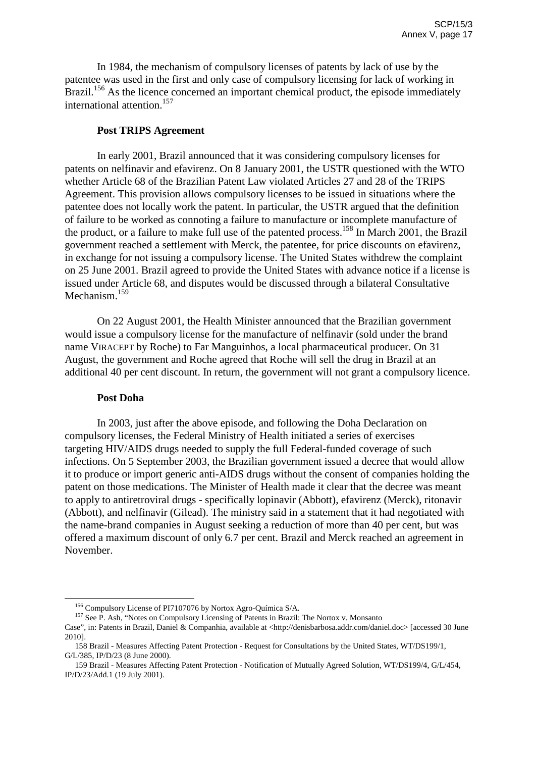In 1984, the mechanism of compulsory licenses of patents by lack of use by the patentee was used in the first and only case of compulsory licensing for lack of working in Brazil.<sup>156</sup> As the licence concerned an important chemical product, the episode immediately international attention. 157

#### **Post TRIPS Agreement**

In early 2001, Brazil announced that it was considering compulsory licenses for patents on nelfinavir and efavirenz. On 8 January 2001, the USTR questioned with the WTO whether Article 68 of the Brazilian Patent Law violated Articles 27 and 28 of the TRIPS Agreement. This provision allows compulsory licenses to be issued in situations where the patentee does not locally work the patent. In particular, the USTR argued that the definition of failure to be worked as connoting a failure to manufacture or incomplete manufacture of the product, or a failure to make full use of the patented process.<sup>158</sup> In March 2001, the Brazil government reached a settlement with Merck, the patentee, for price discounts on efavirenz, in exchange for not issuing a compulsory license. The United States withdrew the complaint on 25 June 2001. Brazil agreed to provide the United States with advance notice if a license is issued under Article 68, and disputes would be discussed through a bilateral Consultative Mechanism. 159

On 22 August 2001, the Health Minister announced that the Brazilian government would issue a compulsory license for the manufacture of nelfinavir (sold under the brand name VIRACEPT by Roche) to Far Manguinhos, a local pharmaceutical producer. On 31 August, the government and Roche agreed that Roche will sell the drug in Brazil at an additional 40 per cent discount. In return, the government will not grant a compulsory licence.

### **Post Doha**

In 2003, just after the above episode, and following the Doha Declaration on compulsory licenses, the Federal Ministry of Health initiated a series of exercises targeting HIV/AIDS drugs needed to supply the full Federal-funded coverage of such infections. On 5 September 2003, the Brazilian government issued a decree that would allow it to produce or import generic anti-AIDS drugs without the consent of companies holding the patent on those medications. The Minister of Health made it clear that the decree was meant to apply to antiretroviral drugs - specifically lopinavir (Abbott), efavirenz (Merck), ritonavir (Abbott), and nelfinavir (Gilead). The ministry said in a statement that it had negotiated with the name-brand companies in August seeking a reduction of more than 40 per cent, but was offered a maximum discount of only 6.7 per cent. Brazil and Merck reached an agreement in November.

<sup>&</sup>lt;sup>156</sup> Compulsory License of PI7107076 by Nortox Agro-Química S/A.<br><sup>157</sup> See P. Ash, "Notes on Compulsory Licensing of Patents in Brazil: The Nortox v. Monsanto

Case", in: Patents in Brazil, Daniel & Companhia, available at <http://denisbarbosa.addr.com/daniel.doc> [accessed 30 June 2010].

<sup>158</sup> Brazil - Measures Affecting Patent Protection - Request for Consultations by the United States, WT/DS199/1, G/L/385, IP/D/23 (8 June 2000).

<sup>159</sup> Brazil - Measures Affecting Patent Protection - Notification of Mutually Agreed Solution, WT/DS199/4, G/L/454, IP/D/23/Add.1 (19 July 2001).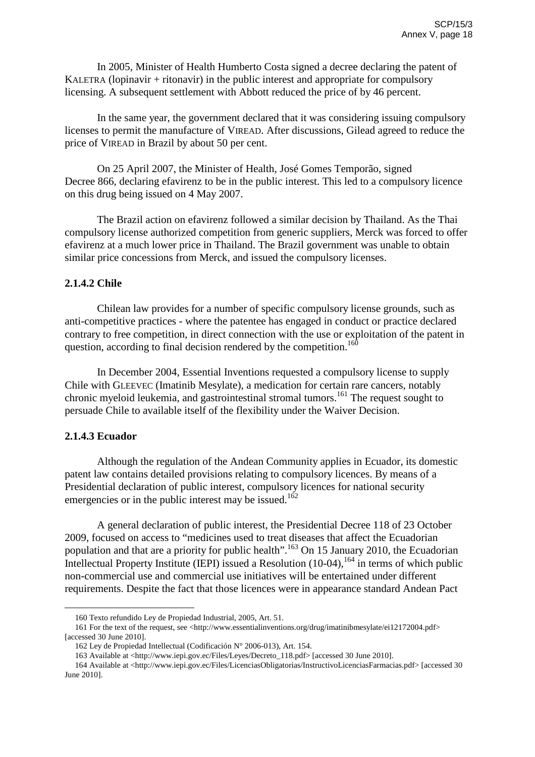In 2005, Minister of Health Humberto Costa signed a decree declaring the patent of KALETRA (lopinavir + ritonavir) in the public interest and appropriate for compulsory licensing. A subsequent settlement with Abbott reduced the price of by 46 percent.

In the same year, the government declared that it was considering issuing compulsory licenses to permit the manufacture of VIREAD. After discussions, Gilead agreed to reduce the price of VIREAD in Brazil by about 50 per cent.

On 25 April 2007, the Minister of Health, José Gomes Temporão, signed Decree 866, declaring efavirenz to be in the public interest. This led to a compulsory licence on this drug being issued on 4 May 2007.

The Brazil action on efavirenz followed a similar decision by Thailand. As the Thai compulsory license authorized competition from generic suppliers, Merck was forced to offer efavirenz at a much lower price in Thailand. The Brazil government was unable to obtain similar price concessions from Merck, and issued the compulsory licenses.

# **2.1.4.2 Chile**

Chilean law provides for a number of specific compulsory license grounds, such as anti-competitive practices - where the patentee has engaged in conduct or practice declared contrary to free competition, in direct connection with the use or exploitation of the patent in question, according to final decision rendered by the competition.  $160$ 

In December 2004, Essential Inventions requested a compulsory license to supply Chile with GLEEVEC (Imatinib Mesylate), a medication for certain rare cancers, notably chronic myeloid leukemia, and gastrointestinal stromal tumors.<sup>161</sup> The request sought to persuade Chile to available itself of the flexibility under the Waiver Decision.

#### **2.1.4.3 Ecuador**

Although the regulation of the Andean Community applies in Ecuador, its domestic patent law contains detailed provisions relating to compulsory licences. By means of a Presidential declaration of public interest, compulsory licences for national security emergencies or in the public interest may be issued.<sup>162</sup>

A general declaration of public interest, the Presidential Decree 118 of 23 October 2009, focused on access to "medicines used to treat diseases that affect the Ecuadorian population and that are a priority for public health". <sup>163</sup> On 15 January 2010, the Ecuadorian Intellectual Property Institute (IEPI) issued a Resolution (10-04), <sup>164</sup> in terms of which public non-commercial use and commercial use initiatives will be entertained under different requirements. Despite the fact that those licences were in appearance standard Andean Pact

<sup>160</sup> Texto refundido Ley de Propiedad Industrial, 2005, Art. 51.

<sup>161</sup> For the text of the request, see <http://www.essentialinventions.org/drug/imatinibmesylate/ei12172004.pdf> [accessed 30 June 2010].

<sup>162</sup> Ley de Propiedad Intellectual (Codificación N° 2006-013), Art. 154.

<sup>163</sup> Available at <http://www.iepi.gov.ec/Files/Leyes/Decreto\_118.pdf> [accessed 30 June 2010].

<sup>164</sup> Available at <http://www.iepi.gov.ec/Files/LicenciasObligatorias/InstructivoLicenciasFarmacias.pdf> [accessed 30 June 2010].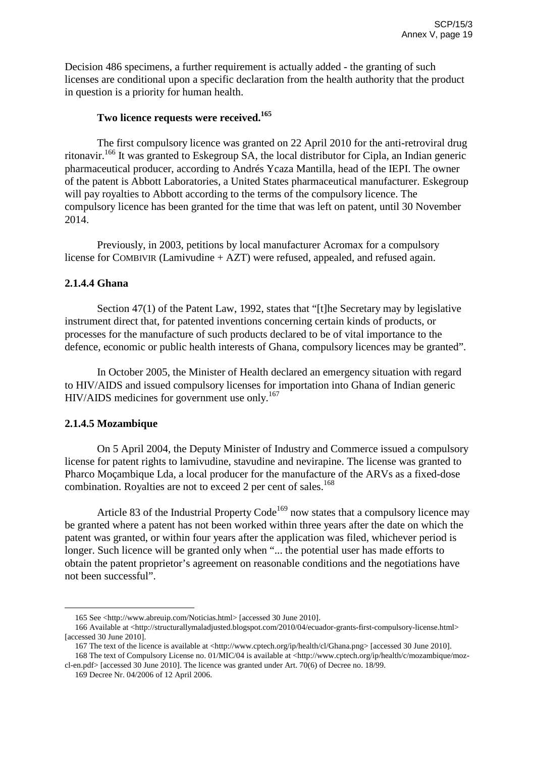Decision 486 specimens, a further requirement is actually added - the granting of such licenses are conditional upon a specific declaration from the health authority that the product in question is a priority for human health.

# **Two licence requests were received. 165**

The first compulsory licence was granted on 22 April 2010 for the anti-retroviral drug ritonavir.<sup>166</sup> It was granted to Eskegroup SA, the local distributor for Cipla, an Indian generic pharmaceutical producer, according to Andrés Ycaza Mantilla, head of the IEPI. The owner of the patent is Abbott Laboratories, a United States pharmaceutical manufacturer. Eskegroup will pay royalties to Abbott according to the terms of the compulsory licence. The compulsory licence has been granted for the time that was left on patent, until 30 November 2014.

Previously, in 2003, petitions by local manufacturer Acromax for a compulsory license for COMBIVIR (Lamivudine + AZT) were refused, appealed, and refused again.

# **2.1.4.4 Ghana**

Section 47(1) of the Patent Law, 1992, states that "[t]he Secretary may by legislative instrument direct that, for patented inventions concerning certain kinds of products, or processes for the manufacture of such products declared to be of vital importance to the defence, economic or public health interests of Ghana, compulsory licences may be granted".

In October 2005, the Minister of Health declared an emergency situation with regard to HIV/AIDS and issued compulsory licenses for importation into Ghana of Indian generic HIV/AIDS medicines for government use only.<sup>167</sup>

# **2.1.4.5 Mozambique**

On 5 April 2004, the Deputy Minister of Industry and Commerce issued a compulsory license for patent rights to lamivudine, stavudine and nevirapine. The license was granted to Pharco Moçambique Lda, a local producer for the manufacture of the ARVs as a fixed-dose combination. Royalties are not to exceed 2 per cent of sales. 168

Article 83 of the Industrial Property Code<sup>169</sup> now states that a compulsory licence may be granted where a patent has not been worked within three years after the date on which the patent was granted, or within four years after the application was filed, whichever period is longer. Such licence will be granted only when "... the potential user has made efforts to obtain the patent proprietor's agreement on reasonable conditions and the negotiations have not been successful".

<sup>165</sup> See <http://www.abreuip.com/Noticias.html> [accessed 30 June 2010].

<sup>166</sup> Available at <http://structurallymaladjusted.blogspot.com/2010/04/ecuador-grants-first-compulsory-license.html> [accessed 30 June 2010].

<sup>167</sup> The text of the licence is available at <http://www.cptech.org/ip/health/cl/Ghana.png> [accessed 30 June 2010]. 168 The text of Compulsory License no. 01/MIC/04 is available at <http://www.cptech.org/ip/health/c/mozambique/moz-

cl-en.pdf> [accessed 30 June 2010]. The licence was granted under Art. 70(6) of Decree no. 18/99.

<sup>169</sup> Decree Nr. 04/2006 of 12 April 2006.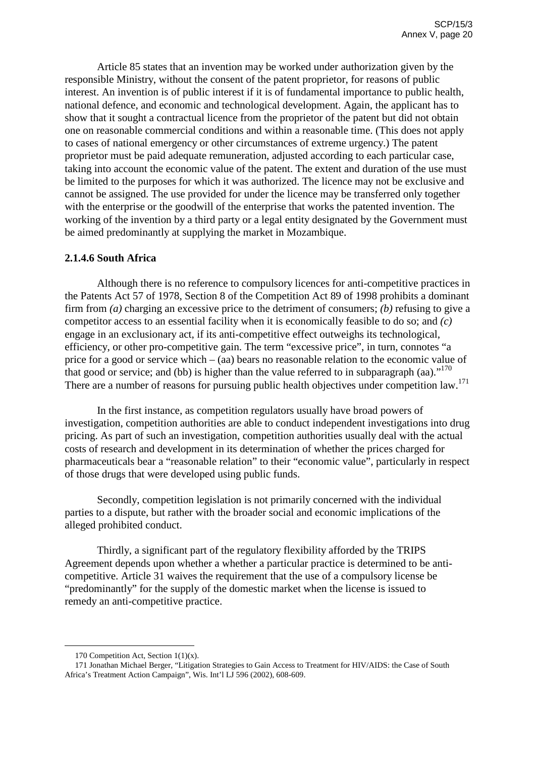Article 85 states that an invention may be worked under authorization given by the responsible Ministry, without the consent of the patent proprietor, for reasons of public interest. An invention is of public interest if it is of fundamental importance to public health, national defence, and economic and technological development. Again, the applicant has to show that it sought a contractual licence from the proprietor of the patent but did not obtain one on reasonable commercial conditions and within a reasonable time. (This does not apply to cases of national emergency or other circumstances of extreme urgency.) The patent proprietor must be paid adequate remuneration, adjusted according to each particular case, taking into account the economic value of the patent. The extent and duration of the use must be limited to the purposes for which it was authorized. The licence may not be exclusive and cannot be assigned. The use provided for under the licence may be transferred only together with the enterprise or the goodwill of the enterprise that works the patented invention. The working of the invention by a third party or a legal entity designated by the Government must be aimed predominantly at supplying the market in Mozambique.

#### **2.1.4.6 South Africa**

Although there is no reference to compulsory licences for anti-competitive practices in the Patents Act 57 of 1978, Section 8 of the Competition Act 89 of 1998 prohibits a dominant firm from *(a)* charging an excessive price to the detriment of consumers; *(b)* refusing to give a competitor access to an essential facility when it is economically feasible to do so; and *(c)* engage in an exclusionary act, if its anti-competitive effect outweighs its technological, efficiency, or other pro-competitive gain. The term "excessive price", in turn, connotes "a price for a good or service which – (aa) bears no reasonable relation to the economic value of that good or service; and (bb) is higher than the value referred to in subparagraph (aa)."<sup>170</sup> There are a number of reasons for pursuing public health objectives under competition law.<sup>171</sup>

In the first instance, as competition regulators usually have broad powers of investigation, competition authorities are able to conduct independent investigations into drug pricing. As part of such an investigation, competition authorities usually deal with the actual costs of research and development in its determination of whether the prices charged for pharmaceuticals bear a "reasonable relation" to their "economic value", particularly in respect of those drugs that were developed using public funds.

Secondly, competition legislation is not primarily concerned with the individual parties to a dispute, but rather with the broader social and economic implications of the alleged prohibited conduct.

Thirdly, a significant part of the regulatory flexibility afforded by the TRIPS Agreement depends upon whether a whether a particular practice is determined to be anticompetitive. Article 31 waives the requirement that the use of a compulsory license be "predominantly" for the supply of the domestic market when the license is issued to remedy an anti-competitive practice.

<sup>170</sup> Competition Act, Section  $1(1)(x)$ .

<sup>171</sup> Jonathan Michael Berger, "Litigation Strategies to Gain Access to Treatment for HIV/AIDS: the Case of South Africa's Treatment Action Campaign", Wis. Int'l LJ 596 (2002), 608-609.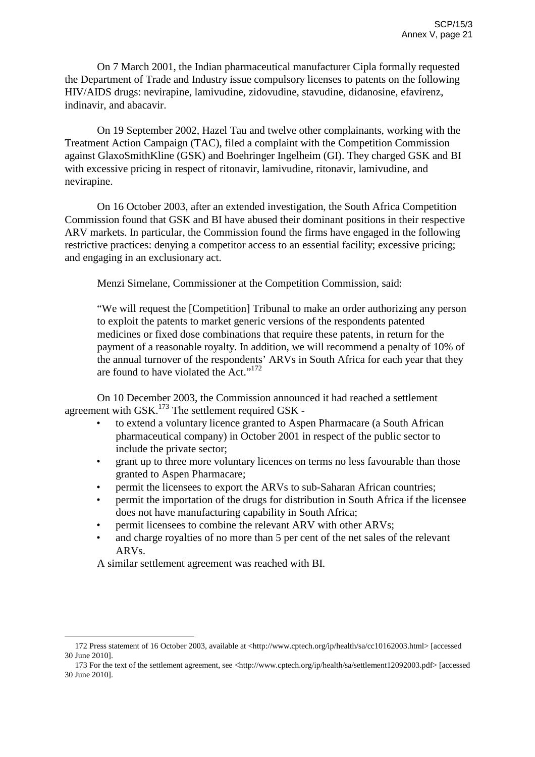On 7 March 2001, the Indian pharmaceutical manufacturer Cipla formally requested the Department of Trade and Industry issue compulsory licenses to patents on the following HIV/AIDS drugs: nevirapine, lamivudine, zidovudine, stavudine, didanosine, efavirenz, indinavir, and abacavir.

On 19 September 2002, Hazel Tau and twelve other complainants, working with the Treatment Action Campaign (TAC), filed a complaint with the Competition Commission against GlaxoSmithKline (GSK) and Boehringer Ingelheim (GI). They charged GSK and BI with excessive pricing in respect of ritonavir, lamivudine, ritonavir, lamivudine, and nevirapine.

On 16 October 2003, after an extended investigation, the South Africa Competition Commission found that GSK and BI have abused their dominant positions in their respective ARV markets. In particular, the Commission found the firms have engaged in the following restrictive practices: denying a competitor access to an essential facility; excessive pricing; and engaging in an exclusionary act.

Menzi Simelane, Commissioner at the Competition Commission, said:

"We will request the [Competition] Tribunal to make an order authorizing any person to exploit the patents to market generic versions of the respondents patented medicines or fixed dose combinations that require these patents, in return for the payment of a reasonable royalty. In addition, we will recommend a penalty of 10% of the annual turnover of the respondents' ARVs in South Africa for each year that they are found to have violated the Act."<sup>172</sup>

On 10 December 2003, the Commission announced it had reached a settlement agreement with  $GSK.$ <sup>173</sup> The settlement required  $GSK$  -

- to extend a voluntary licence granted to Aspen Pharmacare (a South African pharmaceutical company) in October 2001 in respect of the public sector to include the private sector;
- grant up to three more voluntary licences on terms no less favourable than those granted to Aspen Pharmacare;
- permit the licensees to export the ARVs to sub-Saharan African countries;
- permit the importation of the drugs for distribution in South Africa if the licensee does not have manufacturing capability in South Africa;
- permit licensees to combine the relevant ARV with other ARVs;
- and charge royalties of no more than 5 per cent of the net sales of the relevant ARVs.

A similar settlement agreement was reached with BI.

<sup>172</sup> Press statement of 16 October 2003, available at <http://www.cptech.org/ip/health/sa/cc10162003.html> [accessed 30 June 2010].

<sup>173</sup> For the text of the settlement agreement, see <http://www.cptech.org/ip/health/sa/settlement12092003.pdf> [accessed 30 June 2010].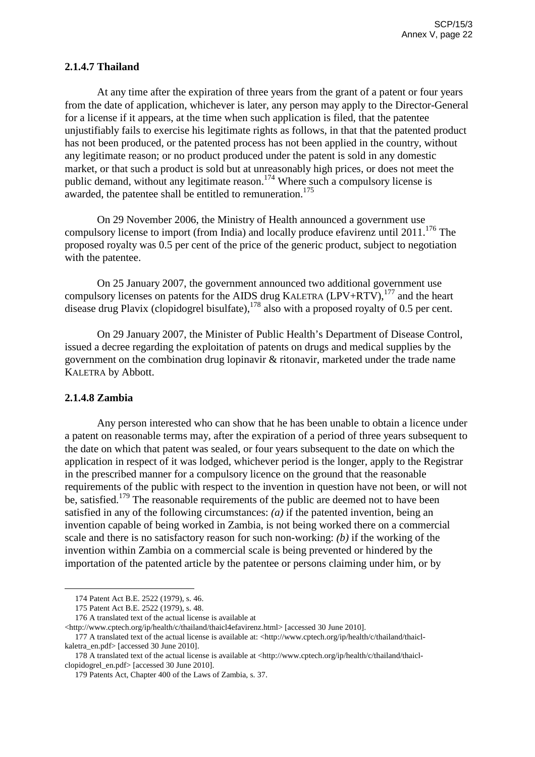# **2.1.4.7 Thailand**

At any time after the expiration of three years from the grant of a patent or four years from the date of application, whichever is later, any person may apply to the Director-General for a license if it appears, at the time when such application is filed, that the patentee unjustifiably fails to exercise his legitimate rights as follows, in that that the patented product has not been produced, or the patented process has not been applied in the country, without any legitimate reason; or no product produced under the patent is sold in any domestic market, or that such a product is sold but at unreasonably high prices, or does not meet the public demand, without any legitimate reason.<sup>174</sup> Where such a compulsory license is awarded, the patentee shall be entitled to remuneration.<sup>175</sup>

On 29 November 2006, the Ministry of Health announced a government use compulsory license to import (from India) and locally produce efavirenz until 2011.<sup>176</sup> The proposed royalty was 0.5 per cent of the price of the generic product, subject to negotiation with the patentee.

On 25 January 2007, the government announced two additional government use compulsory licenses on patents for the AIDS drug KALETRA  $(LPV+RTV)$ ,  $^{177}$  and the heart disease drug Plavix (clopidogrel bisulfate), <sup>178</sup> also with a proposed royalty of 0.5 per cent.

On 29 January 2007, the Minister of Public Health's Department of Disease Control, issued a decree regarding the exploitation of patents on drugs and medical supplies by the government on the combination drug lopinavir & ritonavir, marketed under the trade name KALETRA by Abbott.

### **2.1.4.8 Zambia**

Any person interested who can show that he has been unable to obtain a licence under a patent on reasonable terms may, after the expiration of a period of three years subsequent to the date on which that patent was sealed, or four years subsequent to the date on which the application in respect of it was lodged, whichever period is the longer, apply to the Registrar in the prescribed manner for a compulsory licence on the ground that the reasonable requirements of the public with respect to the invention in question have not been, or will not be, satisfied.<sup>179</sup> The reasonable requirements of the public are deemed not to have been satisfied in any of the following circumstances: *(a)* if the patented invention, being an invention capable of being worked in Zambia, is not being worked there on a commercial scale and there is no satisfactory reason for such non-working: *(b)* if the working of the invention within Zambia on a commercial scale is being prevented or hindered by the importation of the patented article by the patentee or persons claiming under him, or by

<sup>174</sup> Patent Act B.E. 2522 (1979), s. 46.

<sup>175</sup> Patent Act B.E. 2522 (1979), s. 48.

<sup>176</sup> A translated text of the actual license is available at

<sup>&</sup>lt;http://www.cptech.org/ip/health/c/thailand/thaicl4efavirenz.html> [accessed 30 June 2010].

<sup>177</sup> A translated text of the actual license is available at: <http://www.cptech.org/ip/health/c/thailand/thaiclkaletra\_en.pdf> [accessed 30 June 2010].

<sup>178</sup> A translated text of the actual license is available at <http://www.cptech.org/ip/health/c/thailand/thaiclclopidogrel\_en.pdf> [accessed 30 June 2010].

<sup>179</sup> Patents Act, Chapter 400 of the Laws of Zambia, s. 37.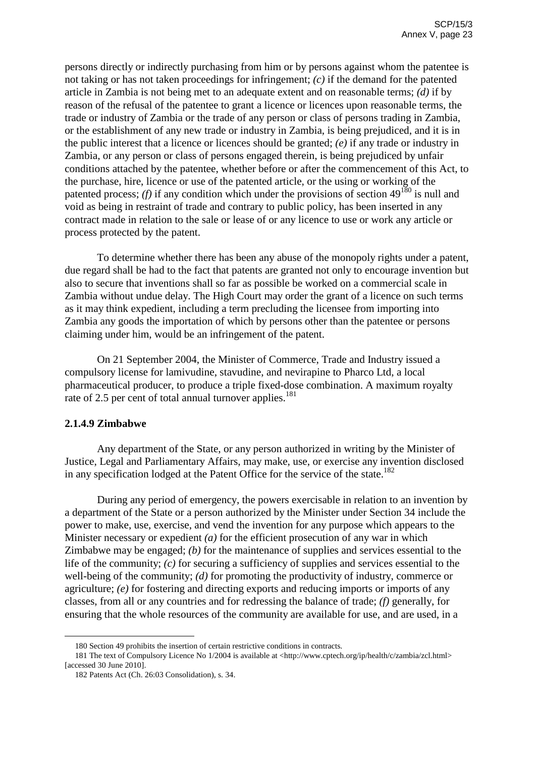persons directly or indirectly purchasing from him or by persons against whom the patentee is not taking or has not taken proceedings for infringement; *(c)* if the demand for the patented article in Zambia is not being met to an adequate extent and on reasonable terms; *(d)* if by reason of the refusal of the patentee to grant a licence or licences upon reasonable terms, the trade or industry of Zambia or the trade of any person or class of persons trading in Zambia, or the establishment of any new trade or industry in Zambia, is being prejudiced, and it is in the public interest that a licence or licences should be granted; *(e)* if any trade or industry in Zambia, or any person or class of persons engaged therein, is being prejudiced by unfair conditions attached by the patentee, whether before or after the commencement of this Act, to the purchase, hire, licence or use of the patented article, or the using or working of the patented process; *(f)* if any condition which under the provisions of section  $49^{180}$  is null and void as being in restraint of trade and contrary to public policy, has been inserted in any contract made in relation to the sale or lease of or any licence to use or work any article or process protected by the patent.

To determine whether there has been any abuse of the monopoly rights under a patent, due regard shall be had to the fact that patents are granted not only to encourage invention but also to secure that inventions shall so far as possible be worked on a commercial scale in Zambia without undue delay. The High Court may order the grant of a licence on such terms as it may think expedient, including a term precluding the licensee from importing into Zambia any goods the importation of which by persons other than the patentee or persons claiming under him, would be an infringement of the patent.

On 21 September 2004, the Minister of Commerce, Trade and Industry issued a compulsory license for lamivudine, stavudine, and nevirapine to Pharco Ltd, a local pharmaceutical producer, to produce a triple fixed-dose combination. A maximum royalty rate of 2.5 per cent of total annual turnover applies.<sup>181</sup>

# **2.1.4.9 Zimbabwe**

Any department of the State, or any person authorized in writing by the Minister of Justice, Legal and Parliamentary Affairs, may make, use, or exercise any invention disclosed in any specification lodged at the Patent Office for the service of the state.<sup>182</sup>

During any period of emergency, the powers exercisable in relation to an invention by a department of the State or a person authorized by the Minister under Section 34 include the power to make, use, exercise, and vend the invention for any purpose which appears to the Minister necessary or expedient *(a)* for the efficient prosecution of any war in which Zimbabwe may be engaged; *(b)* for the maintenance of supplies and services essential to the life of the community; *(c)* for securing a sufficiency of supplies and services essential to the well-being of the community; *(d)* for promoting the productivity of industry, commerce or agriculture; *(e)* for fostering and directing exports and reducing imports or imports of any classes, from all or any countries and for redressing the balance of trade; *(f)* generally, for ensuring that the whole resources of the community are available for use, and are used, in a

<sup>180</sup> Section 49 prohibits the insertion of certain restrictive conditions in contracts.

<sup>181</sup> The text of Compulsory Licence No 1/2004 is available at <http://www.cptech.org/ip/health/c/zambia/zcl.html> [accessed 30 June 2010].

<sup>182</sup> Patents Act (Ch. 26:03 Consolidation), s. 34.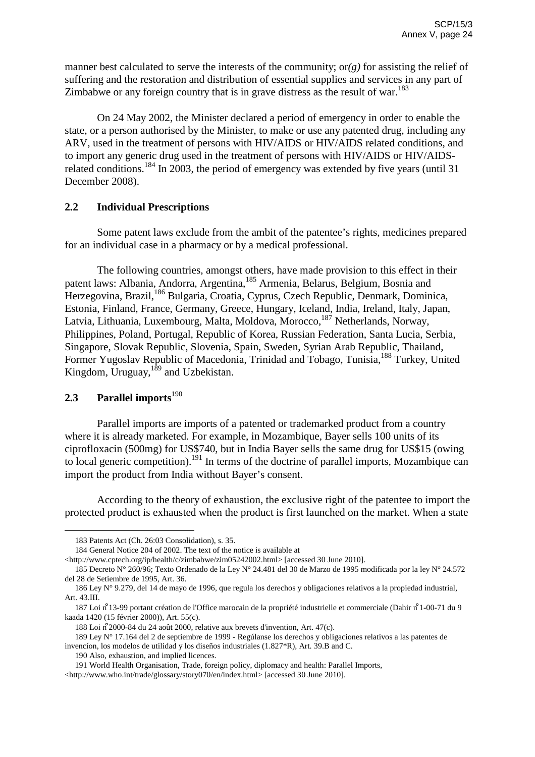manner best calculated to serve the interests of the community; or*(g)* for assisting the relief of suffering and the restoration and distribution of essential supplies and services in any part of Zimbabwe or any foreign country that is in grave distress as the result of war.<sup>183</sup>

On 24 May 2002, the Minister declared a period of emergency in order to enable the state, or a person authorised by the Minister, to make or use any patented drug, including any ARV, used in the treatment of persons with HIV/AIDS or HIV/AIDS related conditions, and to import any generic drug used in the treatment of persons with HIV/AIDS or HIV/AIDSrelated conditions.<sup>184</sup> In 2003, the period of emergency was extended by five years (until 31) December 2008).

# **2.2 Individual Prescriptions**

Some patent laws exclude from the ambit of the patentee's rights, medicines prepared for an individual case in a pharmacy or by a medical professional.

The following countries, amongst others, have made provision to this effect in their patent laws: Albania, Andorra, Argentina, 185 Armenia, Belarus, Belgium, Bosnia and Herzegovina, Brazil, <sup>186</sup> Bulgaria, Croatia, Cyprus, Czech Republic, Denmark, Dominica, Estonia, Finland, France, Germany, Greece, Hungary, Iceland, India, Ireland, Italy, Japan, Latvia, Lithuania, Luxembourg, Malta, Moldova, Morocco, <sup>187</sup> Netherlands, Norway, Philippines, Poland, Portugal, Republic of Korea, Russian Federation, Santa Lucia, Serbia, Singapore, Slovak Republic, Slovenia, Spain, Sweden, Syrian Arab Republic, Thailand, Former Yugoslav Republic of Macedonia, Trinidad and Tobago, Tunisia, <sup>188</sup> Turkey, United Kingdom, Uruguay,<sup>189</sup> and Uzbekistan.

# **2.3 Parallel imports** 190

Parallel imports are imports of a patented or trademarked product from a country where it is already marketed. For example, in Mozambique, Bayer sells 100 units of its ciprofloxacin (500mg) for US\$740, but in India Bayer sells the same drug for US\$15 (owing to local generic competition). <sup>191</sup> In terms of the doctrine of parallel imports, Mozambique can import the product from India without Bayer's consent.

According to the theory of exhaustion, the exclusive right of the patentee to import the protected product is exhausted when the product is first launched on the market. When a state

<sup>183</sup> Patents Act (Ch. 26:03 Consolidation), s. 35.

<sup>184</sup> General Notice 204 of 2002. The text of the notice is available at

 $\langle$ http://www.cptech.org/ip/health/c/zimbabwe/zim05242002.html> [accessed 30 June 2010].

<sup>185</sup> Decreto N° 260/96; Texto Ordenado de la Ley N° 24.481 del 30 de Marzo de 1995 modificada por la ley N° 24.572 del 28 de Setiembre de 1995, Art. 36.

<sup>186</sup> Ley N° 9.279, del 14 de mayo de 1996, que regula los derechos y obligaciones relativos a la propiedad industrial, Art. 43.III.

<sup>187</sup> Loi n<sup>o</sup> 13-99 portant création de l'Office marocain de la propriété industrielle et commerciale (Dahir n<sup>o</sup> 1-00-71 du 9 kaada 1420 (15 février 2000)), Art. 55(c).

<sup>188</sup> Loi n2000-84 du 24 août 2000, relative aux brevets d'invention, Art. 47(c).

<sup>189</sup> Ley N° 17.164 del 2 de septiembre de 1999 - Regúlanse los derechos y obligaciones relativos a las patentes de invencíon, los modelos de utilidad y los diseños industriales (1.827\*R), Art. 39.B and C.

<sup>190</sup> Also, exhaustion, and implied licences.

<sup>191</sup> World Health Organisation, Trade, foreign policy, diplomacy and health: Parallel Imports,

<sup>&</sup>lt;http://www.who.int/trade/glossary/story070/en/index.html> [accessed 30 June 2010].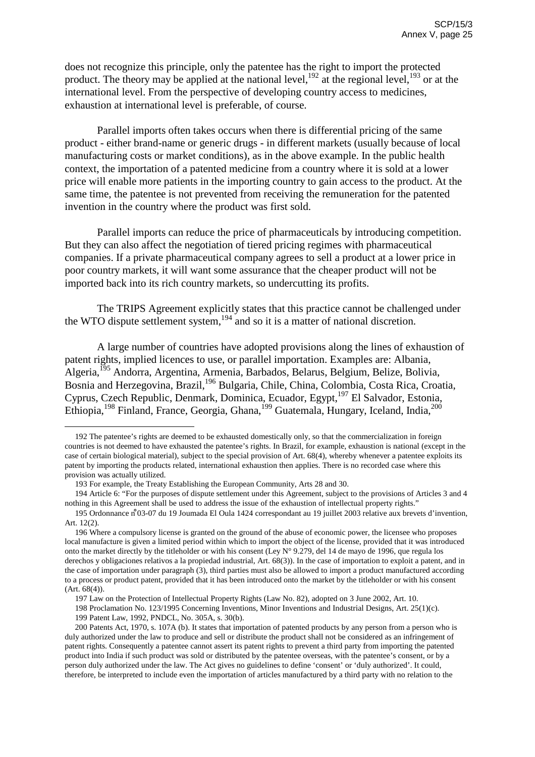does not recognize this principle, only the patentee has the right to import the protected product. The theory may be applied at the national level, <sup>192</sup> at the regional level, <sup>193</sup> or at the international level. From the perspective of developing country access to medicines, exhaustion at international level is preferable, of course.

Parallel imports often takes occurs when there is differential pricing of the same product - either brand-name or generic drugs - in different markets (usually because of local manufacturing costs or market conditions), as in the above example. In the public health context, the importation of a patented medicine from a country where it is sold at a lower price will enable more patients in the importing country to gain access to the product. At the same time, the patentee is not prevented from receiving the remuneration for the patented invention in the country where the product was first sold.

Parallel imports can reduce the price of pharmaceuticals by introducing competition. But they can also affect the negotiation of tiered pricing regimes with pharmaceutical companies. If a private pharmaceutical company agrees to sell a product at a lower price in poor country markets, it will want some assurance that the cheaper product will not be imported back into its rich country markets, so undercutting its profits.

The TRIPS Agreement explicitly states that this practice cannot be challenged under the WTO dispute settlement system, <sup>194</sup> and so it is a matter of national discretion.

A large number of countries have adopted provisions along the lines of exhaustion of patent rights, implied licences to use, or parallel importation. Examples are: Albania, Algeria, <sup>195</sup> Andorra, Argentina, Armenia, Barbados, Belarus, Belgium, Belize, Bolivia, Bosnia and Herzegovina, Brazil, <sup>196</sup> Bulgaria, Chile, China, Colombia, Costa Rica, Croatia, Cyprus, Czech Republic, Denmark, Dominica, Ecuador, Egypt, <sup>197</sup> El Salvador, Estonia, Ethiopia, <sup>198</sup> Finland, France, Georgia, Ghana, <sup>199</sup> Guatemala, Hungary, Iceland, India, <sup>200</sup>

<sup>192</sup> The patentee's rights are deemed to be exhausted domestically only, so that the commercialization in foreign countries is not deemed to have exhausted the patentee's rights. In Brazil, for example, exhaustion is national (except in the case of certain biological material), subject to the special provision of Art. 68(4), whereby whenever a patentee exploits its patent by importing the products related, international exhaustion then applies. There is no recorded case where this provision was actually utilized.

<sup>193</sup> For example, the Treaty Establishing the European Community, Arts 28 and 30.

<sup>194</sup> Article 6: "For the purposes of dispute settlement under this Agreement, subject to the provisions of Articles 3 and 4 nothing in this Agreement shall be used to address the issue of the exhaustion of intellectual property rights."

<sup>195</sup> Ordonnance n03-07 du 19 Joumada El Oula 1424 correspondant au 19 juillet 2003 relative aux brevets d'invention, Art. 12(2).

<sup>196</sup> Where a compulsory license is granted on the ground of the abuse of economic power, the licensee who proposes local manufacture is given a limited period within which to import the object of the license, provided that it was introduced onto the market directly by the titleholder or with his consent (Ley N° 9.279, del 14 de mayo de 1996, que regula los derechos y obligaciones relativos a la propiedad industrial, Art. 68(3)). In the case of importation to exploit a patent, and in the case of importation under paragraph (3), third parties must also be allowed to import a product manufactured according to a process or product patent, provided that it has been introduced onto the market by the titleholder or with his consent  $(Art. 68(4)).$ 

<sup>197</sup> Law on the Protection of Intellectual Property Rights (Law No. 82), adopted on 3 June 2002, Art. 10.

<sup>198</sup> Proclamation No. 123/1995 Concerning Inventions, Minor Inventions and Industrial Designs, Art. 25(1)(c). 199 Patent Law, 1992, PNDCL, No. 305A, s. 30(b).

<sup>200</sup> Patents Act, 1970, s. 107A (b). It states that importation of patented products by any person from a person who is duly authorized under the law to produce and sell or distribute the product shall not be considered as an infringement of patent rights. Consequently a patentee cannot assert its patent rights to prevent a third party from importing the patented product into India if such product was sold or distributed by the patentee overseas, with the patentee's consent, or by a person duly authorized under the law. The Act gives no guidelines to define 'consent' or 'duly authorized'. It could, therefore, be interpreted to include even the importation of articles manufactured by a third party with no relation to the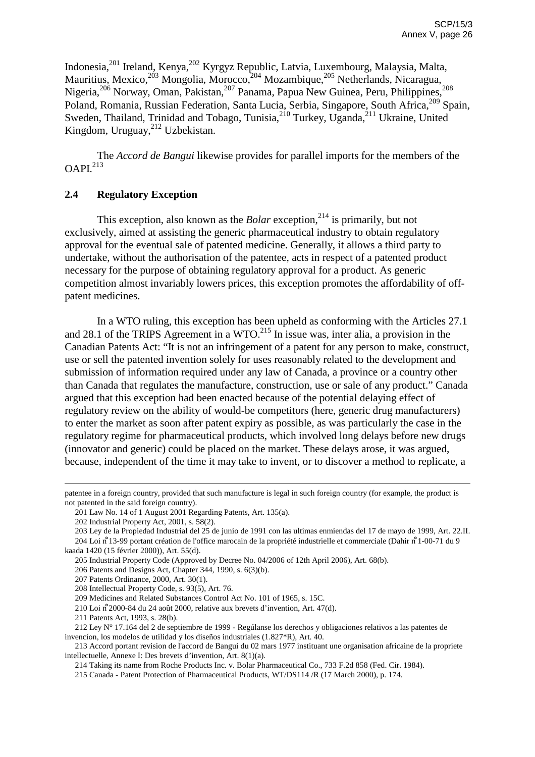Indonesia,<sup>201</sup> Ireland, Kenya,<sup>202</sup> Kyrgyz Republic, Latvia, Luxembourg, Malaysia, Malta, Mauritius, Mexico,<sup>203</sup> Mongolia, Morocco,<sup>204</sup> Mozambique,<sup>205</sup> Netherlands, Nicaragua, Nigeria,<sup>206</sup> Norway, Oman, Pakistan,<sup>207</sup> Panama, Papua New Guinea, Peru, Philippines,<sup>208</sup> Poland, Romania, Russian Federation, Santa Lucia, Serbia, Singapore, South Africa,<sup>209</sup> Spain, Sweden, Thailand, Trinidad and Tobago, Tunisia, 210 Turkey, Uganda, <sup>211</sup> Ukraine, United Kingdom, Uruguay,<sup>212</sup> Uzbekistan.

The *Accord de Bangui* likewise provides for parallel imports for the members of the OAPI. 213

# **2.4 Regulatory Exception**

This exception, also known as the *Bolar* exception, <sup>214</sup> is primarily, but not exclusively, aimed at assisting the generic pharmaceutical industry to obtain regulatory approval for the eventual sale of patented medicine. Generally, it allows a third party to undertake, without the authorisation of the patentee, acts in respect of a patented product necessary for the purpose of obtaining regulatory approval for a product. As generic competition almost invariably lowers prices, this exception promotes the affordability of offpatent medicines.

In a WTO ruling, this exception has been upheld as conforming with the Articles 27.1 and 28.1 of the TRIPS Agreement in a WTO.<sup>215</sup> In issue was, inter alia, a provision in the Canadian Patents Act: "It is not an infringement of a patent for any person to make, construct, use or sell the patented invention solely for uses reasonably related to the development and submission of information required under any law of Canada, a province or a country other than Canada that regulates the manufacture, construction, use or sale of any product." Canada argued that this exception had been enacted because of the potential delaying effect of regulatory review on the ability of would-be competitors (here, generic drug manufacturers) to enter the market as soon after patent expiry as possible, as was particularly the case in the regulatory regime for pharmaceutical products, which involved long delays before new drugs (innovator and generic) could be placed on the market. These delays arose, it was argued, because, independent of the time it may take to invent, or to discover a method to replicate, a

208 Intellectual Property Code, s. 93(5), Art. 76.

patentee in a foreign country, provided that such manufacture is legal in such foreign country (for example, the product is not patented in the said foreign country).

<sup>201</sup> Law No. 14 of 1 August 2001 Regarding Patents, Art. 135(a).

<sup>202</sup> Industrial Property Act, 2001, s. 58(2).

<sup>203</sup> Ley de la Propiedad Industrial del 25 de junio de 1991 con las ultimas enmiendas del 17 de mayo de 1999, Art. 22.II. 204 Loi n<sup>o</sup> 13-99 portant création de l'office marocain de la propriété industrielle et commerciale (Dahir n<sup>o</sup> 1-00-71 du 9 kaada 1420 (15 février 2000)), Art. 55(d).

<sup>205</sup> Industrial Property Code (Approved by Decree No. 04/2006 of 12th April 2006), Art. 68(b).

<sup>206</sup> Patents and Designs Act, Chapter 344, 1990, s. 6(3)(b).

<sup>207</sup> Patents Ordinance, 2000, Art. 30(1).

<sup>209</sup> Medicines and Related Substances Control Act No. 101 of 1965, s. 15C.

 $210$  Loi n°  $2000-84$  du 24 août 2000, relative aux brevets d'invention, Art. 47(d).

<sup>211</sup> Patents Act, 1993, s. 28(b).

<sup>212</sup> Ley N° 17.164 del 2 de septiembre de 1999 - Regúlanse los derechos y obligaciones relativos a las patentes de invencíon, los modelos de utilidad y los diseños industriales (1.827\*R), Art. 40.

<sup>213</sup> Accord portant revision de l'accord de Bangui du 02 mars 1977 instituant une organisation africaine de la propriete intellectuelle, Annexe I: Des brevets d'invention, Art. 8(1)(a).

<sup>214</sup> Taking its name from Roche Products Inc. v. Bolar Pharmaceutical Co., 733 F.2d 858 (Fed. Cir. 1984).

<sup>215</sup> Canada - Patent Protection of Pharmaceutical Products, WT/DS114 /R (17 March 2000), p. 174.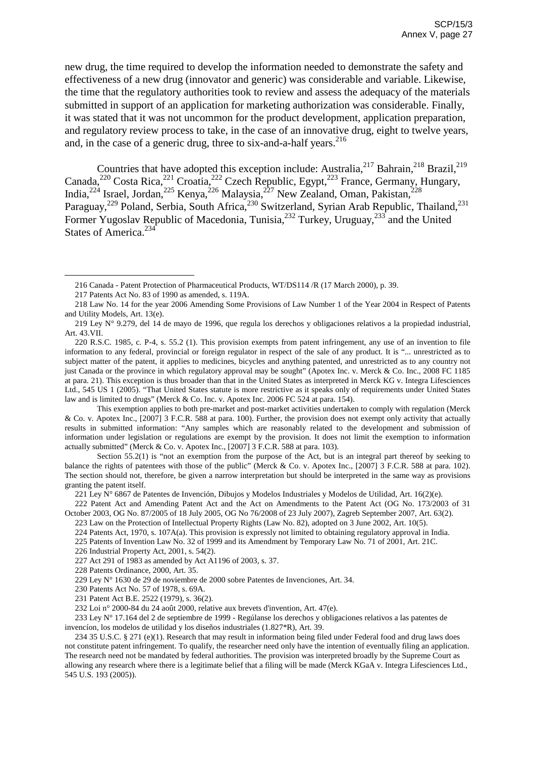new drug, the time required to develop the information needed to demonstrate the safety and effectiveness of a new drug (innovator and generic) was considerable and variable. Likewise, the time that the regulatory authorities took to review and assess the adequacy of the materials submitted in support of an application for marketing authorization was considerable. Finally, it was stated that it was not uncommon for the product development, application preparation, and regulatory review process to take, in the case of an innovative drug, eight to twelve years, and, in the case of a generic drug, three to six-and-a-half years. 216

Countries that have adopted this exception include: Australia,  $2^{17}$  Bahrain,  $2^{18}$  Brazil,  $2^{19}$ Canada,<sup>220</sup> Costa Rica,<sup>221</sup> Croatia,<sup>222</sup> Czech Republic, Egypt,<sup>223</sup> France, Germany, Hungary, India,<sup>224</sup> Israel, Jordan,<sup>225</sup> Kenya,<sup>226</sup> Malaysia,<sup>227</sup> New Zealand, Oman, Pakistan,<sup>228</sup> Paraguay,<sup>229</sup> Poland, Serbia, South Africa,<sup>230</sup> Switzerland, Syrian Arab Republic, Thailand,<sup>231</sup> Former Yugoslav Republic of Macedonia, Tunisia,<sup>232</sup> Turkey, Uruguay,<sup>233</sup> and the United States of America.<sup>234</sup>

217 Patents Act No. 83 of 1990 as amended, s. 119A.

This exemption applies to both pre-market and post-market activities undertaken to comply with regulation (Merck & Co. v. Apotex Inc., [2007] 3 F.C.R. 588 at para. 100). Further, the provision does not exempt only activity that actually results in submitted information: "Any samples which are reasonably related to the development and submission of information under legislation or regulations are exempt by the provision. It does not limit the exemption to information actually submitted" (Merck & Co. v. Apotex Inc., [2007] 3 F.C.R. 588 at para. 103).

Section 55.2(1) is "not an exemption from the purpose of the Act, but is an integral part thereof by seeking to balance the rights of patentees with those of the public" (Merck & Co. v. Apotex Inc., [2007] 3 F.C.R. 588 at para. 102). The section should not, therefore, be given a narrow interpretation but should be interpreted in the same way as provisions granting the patent itself.

221 Ley N° 6867 de Patentes de Invención, Dibujos y Modelos Industriales y Modelos de Utilidad, Art. 16(2)(e).

224 Patents Act, 1970, s. 107A(a). This provision is expressly not limited to obtaining regulatory approval in India.

226 Industrial Property Act, 2001, s. 54(2).

227 Act 291 of 1983 as amended by Act A1196 of 2003, s. 37.

228 Patents Ordinance, 2000, Art. 35.

229 Ley N° 1630 de 29 de noviembre de 2000 sobre Patentes de Invenciones, Art. 34.

230 Patents Act No. 57 of 1978, s. 69A.

231 Patent Act B.E. 2522 (1979), s. 36(2).

232 Loi n° 2000-84 du 24 août 2000, relative aux brevets d'invention, Art. 47(e).

233 Ley N° 17.164 del 2 de septiembre de 1999 - Regúlanse los derechos y obligaciones relativos a las patentes de invencíon, los modelos de utilidad y los diseños industriales (1.827\*R), Art. 39.

234 35 U.S.C. § 271 (e)(1). Research that may result in information being filed under Federal food and drug laws does not constitute patent infringement. To qualify, the researcher need only have the intention of eventually filing an application. The research need not be mandated by federal authorities. The provision was interpreted broadly by the Supreme Court as allowing any research where there is a legitimate belief that a filing will be made (Merck KGaA v. Integra Lifesciences Ltd., 545 U.S. 193 (2005)).

<sup>216</sup> Canada - Patent Protection of Pharmaceutical Products, WT/DS114 /R (17 March 2000), p. 39.

<sup>218</sup> Law No. 14 for the year 2006 Amending Some Provisions of Law Number 1 of the Year 2004 in Respect of Patents and Utility Models, Art. 13(e).

<sup>219</sup> Ley N° 9.279, del 14 de mayo de 1996, que regula los derechos y obligaciones relativos a la propiedad industrial, Art. 43.VII.

<sup>220</sup> R.S.C. 1985, c. P-4, s. 55.2 (1). This provision exempts from patent infringement, any use of an invention to file information to any federal, provincial or foreign regulator in respect of the sale of any product. It is "... unrestricted as to subject matter of the patent, it applies to medicines, bicycles and anything patented, and unrestricted as to any country not just Canada or the province in which regulatory approval may be sought" (Apotex Inc. v. Merck & Co. Inc., 2008 FC 1185 at para. 21). This exception is thus broader than that in the United States as interpreted in Merck KG v. Integra Lifesciences Ltd., 545 US 1 (2005). "That United States statute is more restrictive as it speaks only of requirements under United States law and is limited to drugs" (Merck & Co. Inc. v. Apotex Inc. 2006 FC 524 at para. 154).

<sup>222</sup> Patent Act and Amending Patent Act and the Act on Amendments to the Patent Act (OG No. 173/2003 of 31 October 2003, OG No. 87/2005 of 18 July 2005, OG No 76/2008 of 23 July 2007), Zagreb September 2007, Art. 63(2).

<sup>223</sup> Law on the Protection of Intellectual Property Rights (Law No. 82), adopted on 3 June 2002, Art. 10(5).

<sup>225</sup> Patents of Invention Law No. 32 of 1999 and its Amendment by Temporary Law No. 71 of 2001, Art. 21C.